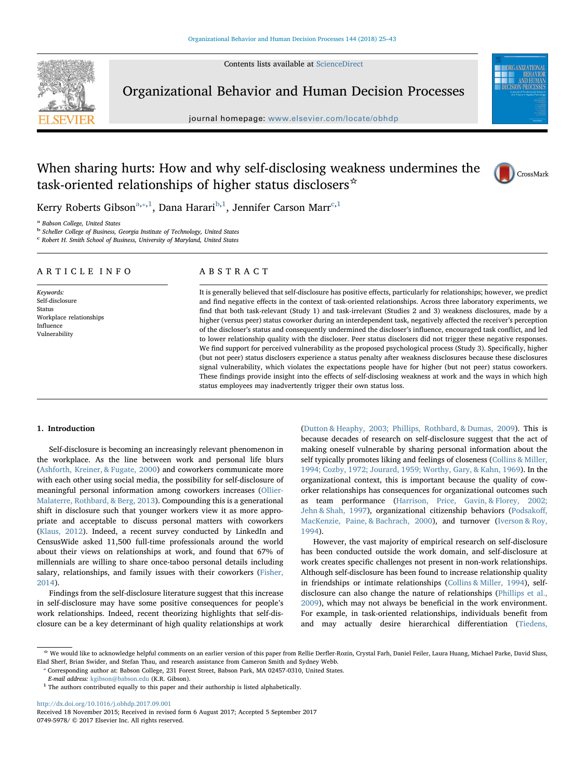Contents lists available at [ScienceDirect](http://www.sciencedirect.com/science/journal/07495978)



Organizational Behavior and Human Decision Processes

journal homepage: [www.elsevier.com/locate/obhdp](https://www.elsevier.com/locate/obhdp)



# When sharing hurts: How and why self-disclosing weakness undermines the task-oriented relationships of higher status disclosers☆



Kerry Roberts Gibson $^{\mathbb{a},*,1}$  $^{\mathbb{a},*,1}$  $^{\mathbb{a},*,1}$  $^{\mathbb{a},*,1}$  $^{\mathbb{a},*,1}$ , Dana Harari $^{\mathbb{b},1}$ , Jennifer Carson Marr $^{\mathbb{c},1}$ 

<span id="page-0-0"></span>**Babson College, United States** 

<span id="page-0-3"></span><sup>b</sup> Scheller College of Business, Georgia Institute of Technology, United States

<span id="page-0-4"></span> $c$  Robert H. Smith School of Business, University of Maryland, United States

### ARTICLE INFO

Keywords: Self-disclosure Status Workplace relationships Influence Vulnerability

### ABSTRACT

It is generally believed that self-disclosure has positive effects, particularly for relationships; however, we predict and find negative effects in the context of task-oriented relationships. Across three laboratory experiments, we find that both task-relevant (Study 1) and task-irrelevant (Studies 2 and 3) weakness disclosures, made by a higher (versus peer) status coworker during an interdependent task, negatively affected the receiver's perception of the discloser's status and consequently undermined the discloser's influence, encouraged task conflict, and led to lower relationship quality with the discloser. Peer status disclosers did not trigger these negative responses. We find support for perceived vulnerability as the proposed psychological process (Study 3). Specifically, higher (but not peer) status disclosers experience a status penalty after weakness disclosures because these disclosures signal vulnerability, which violates the expectations people have for higher (but not peer) status coworkers. These findings provide insight into the effects of self-disclosing weakness at work and the ways in which high status employees may inadvertently trigger their own status loss.

### 1. Introduction

Self-disclosure is becoming an increasingly relevant phenomenon in the workplace. As the line between work and personal life blurs ([Ashforth, Kreiner, & Fugate, 2000\)](#page-16-0) and coworkers communicate more with each other using social media, the possibility for self-disclosure of meaningful personal information among coworkers increases [\(Ollier-](#page-17-0)[Malaterre, Rothbard, & Berg, 2013\)](#page-17-0). Compounding this is a generational shift in disclosure such that younger workers view it as more appropriate and acceptable to discuss personal matters with coworkers ([Klaus, 2012](#page-17-1)). Indeed, a recent survey conducted by LinkedIn and CensusWide asked 11,500 full-time professionals around the world about their views on relationships at work, and found that 67% of millennials are willing to share once-taboo personal details including salary, relationships, and family issues with their coworkers ([Fisher,](#page-17-2) [2014\)](#page-17-2).

Findings from the self-disclosure literature suggest that this increase in self-disclosure may have some positive consequences for people's work relationships. Indeed, recent theorizing highlights that self-disclosure can be a key determinant of high quality relationships at work

([Dutton & Heaphy, 2003; Phillips, Rothbard, & Dumas, 2009](#page-17-3)). This is because decades of research on self-disclosure suggest that the act of making oneself vulnerable by sharing personal information about the self typically promotes liking and feelings of closeness [\(Collins & Miller,](#page-17-4) [1994; Cozby, 1972; Jourard, 1959; Worthy, Gary, & Kahn, 1969](#page-17-4)). In the organizational context, this is important because the quality of coworker relationships has consequences for organizational outcomes such as team performance ([Harrison, Price, Gavin, & Florey, 2002;](#page-17-5) [Jehn & Shah, 1997\)](#page-17-5), organizational citizenship behaviors ([Podsako](#page-17-6)ff, [MacKenzie, Paine, & Bachrach, 2000](#page-17-6)), and turnover [\(Iverson & Roy,](#page-17-7) [1994\)](#page-17-7).

However, the vast majority of empirical research on self-disclosure has been conducted outside the work domain, and self-disclosure at work creates specific challenges not present in non-work relationships. Although self-disclosure has been found to increase relationship quality in friendships or intimate relationships [\(Collins & Miller, 1994](#page-17-4)), selfdisclosure can also change the nature of relationships [\(Phillips et al.,](#page-17-8) [2009\)](#page-17-8), which may not always be beneficial in the work environment. For example, in task-oriented relationships, individuals benefit from and may actually desire hierarchical differentiation [\(Tiedens,](#page-18-0)

<span id="page-0-1"></span>

E-mail address: [kgibson@babson.edu](mailto:kgibson@babson.edu) (K.R. Gibson).

<http://dx.doi.org/10.1016/j.obhdp.2017.09.001>

Received 18 November 2015; Received in revised form 6 August 2017; Accepted 5 September 2017 0749-5978/ © 2017 Elsevier Inc. All rights reserved.

<sup>☆</sup> We would like to acknowledge helpful comments on an earlier version of this paper from Rellie Derfler-Rozin, Crystal Farh, Daniel Feiler, Laura Huang, Michael Parke, David Sluss, Elad Sherf, Brian Swider, and Stefan Thau, and research assistance from Cameron Smith and Sydney Webb. <br> \* Corresponding author at: Babson College, 231 Forest Street, Babson Park, MA 02457-0310, United States.

<span id="page-0-2"></span><sup>&</sup>lt;sup>1</sup> The authors contributed equally to this paper and their authorship is listed alphabetically.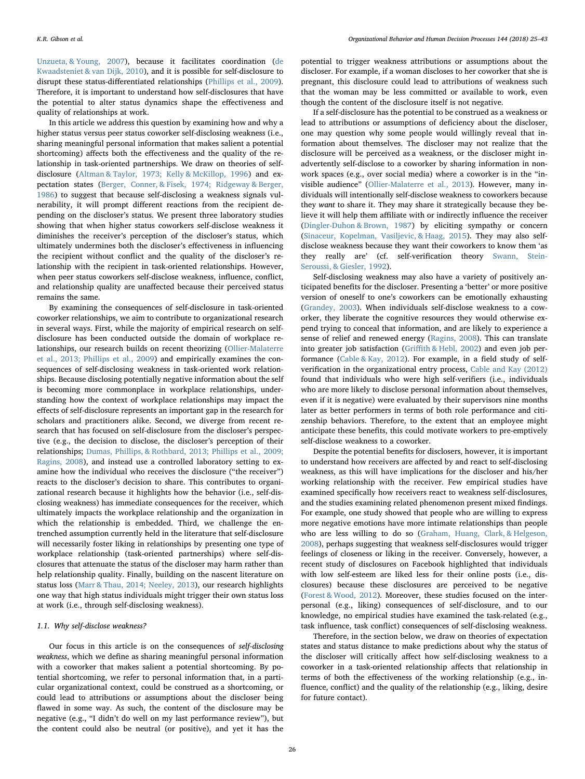[Unzueta, & Young, 2007\)](#page-18-0), because it facilitates coordination [\(de](#page-17-9) [Kwaadsteniet & van Dijk, 2010](#page-17-9)), and it is possible for self-disclosure to disrupt these status-differentiated relationships [\(Phillips et al., 2009](#page-17-8)). Therefore, it is important to understand how self-disclosures that have the potential to alter status dynamics shape the effectiveness and quality of relationships at work.

In this article we address this question by examining how and why a higher status versus peer status coworker self-disclosing weakness (i.e., sharing meaningful personal information that makes salient a potential shortcoming) affects both the effectiveness and the quality of the relationship in task-oriented partnerships. We draw on theories of selfdisclosure ([Altman & Taylor, 1973; Kelly & McKillop, 1996\)](#page-16-1) and expectation states ([Berger, Conner, & Fisek, 1974; Ridgeway & Berger,](#page-17-10) [1986\)](#page-17-10) to suggest that because self-disclosing a weakness signals vulnerability, it will prompt different reactions from the recipient depending on the discloser's status. We present three laboratory studies showing that when higher status coworkers self-disclose weakness it diminishes the receiver's perception of the discloser's status, which ultimately undermines both the discloser's effectiveness in influencing the recipient without conflict and the quality of the discloser's relationship with the recipient in task-oriented relationships. However, when peer status coworkers self-disclose weakness, influence, conflict, and relationship quality are unaffected because their perceived status remains the same.

By examining the consequences of self-disclosure in task-oriented coworker relationships, we aim to contribute to organizational research in several ways. First, while the majority of empirical research on selfdisclosure has been conducted outside the domain of workplace relationships, our research builds on recent theorizing ([Ollier-Malaterre](#page-17-0) [et al., 2013; Phillips et al., 2009](#page-17-0)) and empirically examines the consequences of self-disclosing weakness in task-oriented work relationships. Because disclosing potentially negative information about the self is becoming more commonplace in workplace relationships, understanding how the context of workplace relationships may impact the effects of self-disclosure represents an important gap in the research for scholars and practitioners alike. Second, we diverge from recent research that has focused on self-disclosure from the discloser's perspective (e.g., the decision to disclose, the discloser's perception of their relationships; [Dumas, Phillips, & Rothbard, 2013; Phillips et al., 2009;](#page-17-11) [Ragins, 2008\)](#page-17-11), and instead use a controlled laboratory setting to examine how the individual who receives the disclosure ("the receiver") reacts to the discloser's decision to share. This contributes to organizational research because it highlights how the behavior (i.e., self-disclosing weakness) has immediate consequences for the receiver, which ultimately impacts the workplace relationship and the organization in which the relationship is embedded. Third, we challenge the entrenched assumption currently held in the literature that self-disclosure will necessarily foster liking in relationships by presenting one type of workplace relationship (task-oriented partnerships) where self-disclosures that attenuate the status of the discloser may harm rather than help relationship quality. Finally, building on the nascent literature on status loss ([Marr & Thau, 2014; Neeley, 2013](#page-17-12)), our research highlights one way that high status individuals might trigger their own status loss at work (i.e., through self-disclosing weakness).

#### 1.1. Why self-disclose weakness?

Our focus in this article is on the consequences of self-disclosing weakness, which we define as sharing meaningful personal information with a coworker that makes salient a potential shortcoming. By potential shortcoming, we refer to personal information that, in a particular organizational context, could be construed as a shortcoming, or could lead to attributions or assumptions about the discloser being flawed in some way. As such, the content of the disclosure may be negative (e.g., "I didn't do well on my last performance review"), but the content could also be neutral (or positive), and yet it has the

potential to trigger weakness attributions or assumptions about the discloser. For example, if a woman discloses to her coworker that she is pregnant, this disclosure could lead to attributions of weakness such that the woman may be less committed or available to work, even though the content of the disclosure itself is not negative.

If a self-disclosure has the potential to be construed as a weakness or lead to attributions or assumptions of deficiency about the discloser, one may question why some people would willingly reveal that information about themselves. The discloser may not realize that the disclosure will be perceived as a weakness, or the discloser might inadvertently self-disclose to a coworker by sharing information in nonwork spaces (e.g., over social media) where a coworker is in the "invisible audience" [\(Ollier-Malaterre et al., 2013](#page-17-0)). However, many individuals will intentionally self-disclose weakness to coworkers because they want to share it. They may share it strategically because they believe it will help them affiliate with or indirectly influence the receiver ([Dingler-Duhon & Brown, 1987](#page-17-13)) by eliciting sympathy or concern ([Sinaceur, Kopelman, Vasiljevic, & Haag, 2015](#page-17-14)). They may also selfdisclose weakness because they want their coworkers to know them 'as they really are' (cf. self-verification theory [Swann, Stein-](#page-17-15)[Seroussi, & Giesler, 1992\)](#page-17-15).

Self-disclosing weakness may also have a variety of positively anticipated benefits for the discloser. Presenting a 'better' or more positive version of oneself to one's coworkers can be emotionally exhausting ([Grandey, 2003](#page-17-16)). When individuals self-disclose weakness to a coworker, they liberate the cognitive resources they would otherwise expend trying to conceal that information, and are likely to experience a sense of relief and renewed energy ([Ragins, 2008](#page-17-17)). This can translate into greater job satisfaction (Griffi[th & Hebl, 2002](#page-17-18)) and even job performance (Cable [& Kay, 2012\)](#page-17-19). For example, in a field study of selfverification in the organizational entry process, [Cable and Kay \(2012\)](#page-17-19) found that individuals who were high self-verifiers (i.e., individuals who are more likely to disclose personal information about themselves, even if it is negative) were evaluated by their supervisors nine months later as better performers in terms of both role performance and citizenship behaviors. Therefore, to the extent that an employee might anticipate these benefits, this could motivate workers to pre-emptively self-disclose weakness to a coworker.

Despite the potential benefits for disclosers, however, it is important to understand how receivers are affected by and react to self-disclosing weakness, as this will have implications for the discloser and his/her working relationship with the receiver. Few empirical studies have examined specifically how receivers react to weakness self-disclosures, and the studies examining related phenomenon present mixed findings. For example, one study showed that people who are willing to express more negative emotions have more intimate relationships than people who are less willing to do so [\(Graham, Huang, Clark, & Helgeson,](#page-17-20) [2008\)](#page-17-20), perhaps suggesting that weakness self-disclosures would trigger feelings of closeness or liking in the receiver. Conversely, however, a recent study of disclosures on Facebook highlighted that individuals with low self-esteem are liked less for their online posts (i.e., disclosures) because these disclosures are perceived to be negative ([Forest & Wood, 2012](#page-17-21)). Moreover, these studies focused on the interpersonal (e.g., liking) consequences of self-disclosure, and to our knowledge, no empirical studies have examined the task-related (e.g., task influence, task conflict) consequences of self-disclosing weakness.

Therefore, in the section below, we draw on theories of expectation states and status distance to make predictions about why the status of the discloser will critically affect how self-disclosing weakness to a coworker in a task-oriented relationship affects that relationship in terms of both the effectiveness of the working relationship (e.g., influence, conflict) and the quality of the relationship (e.g., liking, desire for future contact).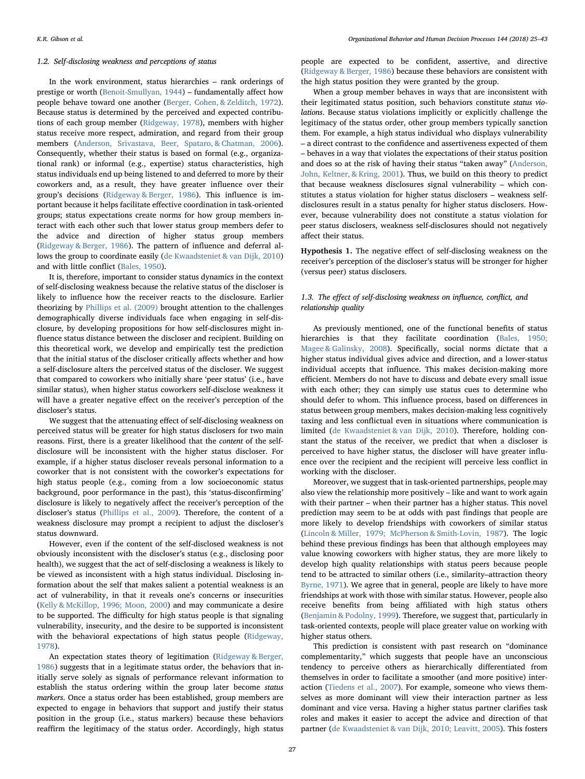#### 1.2. Self-disclosing weakness and perceptions of status

In the work environment, status hierarchies – rank orderings of prestige or worth ([Benoit-Smullyan, 1944\)](#page-17-22) – fundamentally affect how people behave toward one another ([Berger, Cohen, & Zelditch, 1972](#page-17-23)). Because status is determined by the perceived and expected contributions of each group member ([Ridgeway, 1978\)](#page-17-24), members with higher status receive more respect, admiration, and regard from their group members [\(Anderson, Srivastava, Beer, Spataro, & Chatman, 2006](#page-16-2)). Consequently, whether their status is based on formal (e.g., organizational rank) or informal (e.g., expertise) status characteristics, high status individuals end up being listened to and deferred to more by their coworkers and, as a result, they have greater influence over their group's decisions [\(Ridgeway & Berger, 1986\)](#page-17-25). This influence is important because it helps facilitate effective coordination in task-oriented groups; status expectations create norms for how group members interact with each other such that lower status group members defer to the advice and direction of higher status group members ([Ridgeway & Berger, 1986\)](#page-17-25). The pattern of influence and deferral allows the group to coordinate easily ([de Kwaadsteniet & van Dijk, 2010\)](#page-17-9) and with little conflict [\(Bales, 1950](#page-16-3)).

It is, therefore, important to consider status dynamics in the context of self-disclosing weakness because the relative status of the discloser is likely to influence how the receiver reacts to the disclosure. Earlier theorizing by [Phillips et al. \(2009\)](#page-17-8) brought attention to the challenges demographically diverse individuals face when engaging in self-disclosure, by developing propositions for how self-disclosures might influence status distance between the discloser and recipient. Building on this theoretical work, we develop and empirically test the prediction that the initial status of the discloser critically affects whether and how a self-disclosure alters the perceived status of the discloser. We suggest that compared to coworkers who initially share 'peer status' (i.e., have similar status), when higher status coworkers self-disclose weakness it will have a greater negative effect on the receiver's perception of the discloser's status.

We suggest that the attenuating effect of self-disclosing weakness on perceived status will be greater for high status disclosers for two main reasons. First, there is a greater likelihood that the content of the selfdisclosure will be inconsistent with the higher status discloser. For example, if a higher status discloser reveals personal information to a coworker that is not consistent with the coworker's expectations for high status people (e.g., coming from a low socioeconomic status background, poor performance in the past), this 'status-disconfirming' disclosure is likely to negatively affect the receiver's perception of the discloser's status ([Phillips et al., 2009\)](#page-17-8). Therefore, the content of a weakness disclosure may prompt a recipient to adjust the discloser's status downward.

However, even if the content of the self-disclosed weakness is not obviously inconsistent with the discloser's status (e.g., disclosing poor health), we suggest that the act of self-disclosing a weakness is likely to be viewed as inconsistent with a high status individual. Disclosing information about the self that makes salient a potential weakness is an act of vulnerability, in that it reveals one's concerns or insecurities ([Kelly & McKillop, 1996; Moon, 2000](#page-17-26)) and may communicate a desire to be supported. The difficulty for high status people is that signaling vulnerability, insecurity, and the desire to be supported is inconsistent with the behavioral expectations of high status people ([Ridgeway,](#page-17-24) [1978\)](#page-17-24).

An expectation states theory of legitimation ([Ridgeway & Berger,](#page-17-25) [1986\)](#page-17-25) suggests that in a legitimate status order, the behaviors that initially serve solely as signals of performance relevant information to establish the status ordering within the group later become status markers. Once a status order has been established, group members are expected to engage in behaviors that support and justify their status position in the group (i.e., status markers) because these behaviors reaffirm the legitimacy of the status order. Accordingly, high status

people are expected to be confident, assertive, and directive ([Ridgeway & Berger, 1986\)](#page-17-25) because these behaviors are consistent with the high status position they were granted by the group.

When a group member behaves in ways that are inconsistent with their legitimated status position, such behaviors constitute status violations. Because status violations implicitly or explicitly challenge the legitimacy of the status order, other group members typically sanction them. For example, a high status individual who displays vulnerability – a direct contrast to the confidence and assertiveness expected of them – behaves in a way that violates the expectations of their status position and does so at the risk of having their status "taken away" [\(Anderson,](#page-16-4) [John, Keltner, & Kring, 2001](#page-16-4)). Thus, we build on this theory to predict that because weakness disclosures signal vulnerability – which constitutes a status violation for higher status disclosers – weakness selfdisclosures result in a status penalty for higher status disclosers. However, because vulnerability does not constitute a status violation for peer status disclosers, weakness self-disclosures should not negatively affect their status.

<span id="page-2-0"></span>Hypothesis 1. The negative effect of self-disclosing weakness on the receiver's perception of the discloser's status will be stronger for higher (versus peer) status disclosers.

### 1.3. The effect of self-disclosing weakness on influence, conflict, and relationship quality

As previously mentioned, one of the functional benefits of status hierarchies is that they facilitate coordination ([Bales, 1950;](#page-16-3) [Magee & Galinsky, 2008](#page-16-3)). Specifically, social norms dictate that a higher status individual gives advice and direction, and a lower-status individual accepts that influence. This makes decision-making more efficient. Members do not have to discuss and debate every small issue with each other; they can simply use status cues to determine who should defer to whom. This influence process, based on differences in status between group members, makes decision-making less cognitively taxing and less conflictual even in situations where communication is limited ([de Kwaadsteniet & van Dijk, 2010](#page-17-9)). Therefore, holding constant the status of the receiver, we predict that when a discloser is perceived to have higher status, the discloser will have greater influence over the recipient and the recipient will perceive less conflict in working with the discloser.

Moreover, we suggest that in task-oriented partnerships, people may also view the relationship more positively – like and want to work again with their partner – when their partner has a higher status. This novel prediction may seem to be at odds with past findings that people are more likely to develop friendships with coworkers of similar status ([Lincoln & Miller, 1979; McPherson & Smith-Lovin, 1987\)](#page-17-27). The logic behind these previous findings has been that although employees may value knowing coworkers with higher status, they are more likely to develop high quality relationships with status peers because people tend to be attracted to similar others (i.e., similarity–attraction theory [Byrne, 1971\)](#page-17-28). We agree that in general, people are likely to have more friendships at work with those with similar status. However, people also receive benefits from being affiliated with high status others ([Benjamin & Podolny, 1999\)](#page-16-5). Therefore, we suggest that, particularly in task-oriented contexts, people will place greater value on working with higher status others.

This prediction is consistent with past research on "dominance complementarity," which suggests that people have an unconscious tendency to perceive others as hierarchically differentiated from themselves in order to facilitate a smoother (and more positive) interaction [\(Tiedens et al., 2007](#page-18-0)). For example, someone who views themselves as more dominant will view their interaction partner as less dominant and vice versa. Having a higher status partner clarifies task roles and makes it easier to accept the advice and direction of that partner [\(de Kwaadsteniet & van Dijk, 2010; Leavitt, 2005](#page-17-9)). This fosters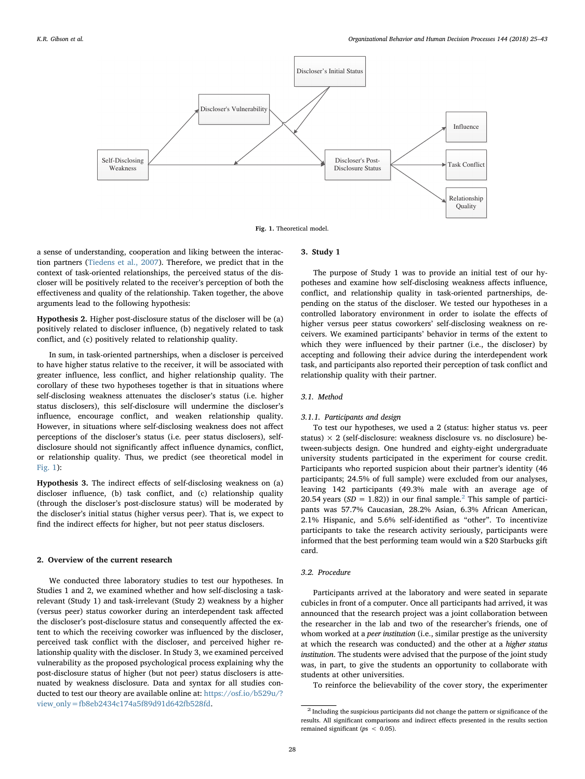<span id="page-3-0"></span>

Fig. 1. Theoretical model.

3. Study 1

a sense of understanding, cooperation and liking between the interaction partners ([Tiedens et al., 2007\)](#page-18-0). Therefore, we predict that in the context of task-oriented relationships, the perceived status of the discloser will be positively related to the receiver's perception of both the effectiveness and quality of the relationship. Taken together, the above arguments lead to the following hypothesis:

<span id="page-3-2"></span>Hypothesis 2. Higher post-disclosure status of the discloser will be (a) positively related to discloser influence, (b) negatively related to task conflict, and (c) positively related to relationship quality.

In sum, in task-oriented partnerships, when a discloser is perceived to have higher status relative to the receiver, it will be associated with greater influence, less conflict, and higher relationship quality. The corollary of these two hypotheses together is that in situations where self-disclosing weakness attenuates the discloser's status (i.e. higher status disclosers), this self-disclosure will undermine the discloser's influence, encourage conflict, and weaken relationship quality. However, in situations where self-disclosing weakness does not affect perceptions of the discloser's status (i.e. peer status disclosers), selfdisclosure should not significantly affect influence dynamics, conflict, or relationship quality. Thus, we predict (see theoretical model in [Fig. 1\)](#page-3-0):

<span id="page-3-3"></span>Hypothesis 3. The indirect effects of self-disclosing weakness on (a) discloser influence, (b) task conflict, and (c) relationship quality (through the discloser's post-disclosure status) will be moderated by the discloser's initial status (higher versus peer). That is, we expect to find the indirect effects for higher, but not peer status disclosers.

#### 2. Overview of the current research

We conducted three laboratory studies to test our hypotheses. In Studies 1 and 2, we examined whether and how self-disclosing a taskrelevant (Study 1) and task-irrelevant (Study 2) weakness by a higher (versus peer) status coworker during an interdependent task affected the discloser's post-disclosure status and consequently affected the extent to which the receiving coworker was influenced by the discloser, perceived task conflict with the discloser, and perceived higher relationship quality with the discloser. In Study 3, we examined perceived vulnerability as the proposed psychological process explaining why the post-disclosure status of higher (but not peer) status disclosers is attenuated by weakness disclosure. Data and syntax for all studies conducted to test our theory are available online at: [https://osf.io/b529u/?](https://osf.io/b529u/?view_only=fb8eb2434c174a5f89d91d642fb528fd) [view\\_only=fb8eb2434c174a5f89d91d642fb528fd.](https://osf.io/b529u/?view_only=fb8eb2434c174a5f89d91d642fb528fd)

The purpose of Study 1 was to provide an initial test of our hypotheses and examine how self-disclosing weakness affects influence, conflict, and relationship quality in task-oriented partnerships, depending on the status of the discloser. We tested our hypotheses in a controlled laboratory environment in order to isolate the effects of higher versus peer status coworkers' self-disclosing weakness on receivers. We examined participants' behavior in terms of the extent to which they were influenced by their partner (i.e., the discloser) by accepting and following their advice during the interdependent work task, and participants also reported their perception of task conflict and relationship quality with their partner.

### 3.1. Method

#### 3.1.1. Participants and design

To test our hypotheses, we used a 2 (status: higher status vs. peer status)  $\times$  2 (self-disclosure: weakness disclosure vs. no disclosure) between-subjects design. One hundred and eighty-eight undergraduate university students participated in the experiment for course credit. Participants who reported suspicion about their partner's identity (46 participants; 24.5% of full sample) were excluded from our analyses, leaving 142 participants (49.3% male with an average age of 20.54 years ( $SD = 1.82$ )) in our final sample.<sup>2</sup> This sample of participants was 57.7% Caucasian, 28.2% Asian, 6.3% African American, 2.1% Hispanic, and 5.6% self-identified as "other". To incentivize participants to take the research activity seriously, participants were informed that the best performing team would win a \$20 Starbucks gift card.

### 3.2. Procedure

Participants arrived at the laboratory and were seated in separate cubicles in front of a computer. Once all participants had arrived, it was announced that the research project was a joint collaboration between the researcher in the lab and two of the researcher's friends, one of whom worked at a peer institution (i.e., similar prestige as the university at which the research was conducted) and the other at a higher status institution. The students were advised that the purpose of the joint study was, in part, to give the students an opportunity to collaborate with students at other universities.

To reinforce the believability of the cover story, the experimenter

<span id="page-3-1"></span> $^{\rm 2}$  Including the suspicious participants did not change the pattern or significance of the results. All significant comparisons and indirect effects presented in the results section remained significant ( $ps < 0.05$ ).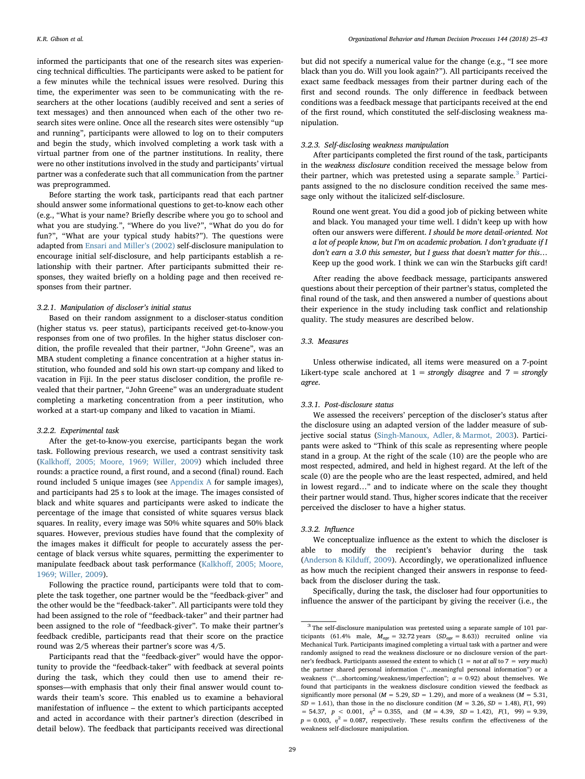informed the participants that one of the research sites was experiencing technical difficulties. The participants were asked to be patient for a few minutes while the technical issues were resolved. During this time, the experimenter was seen to be communicating with the researchers at the other locations (audibly received and sent a series of text messages) and then announced when each of the other two research sites were online. Once all the research sites were ostensibly "up and running", participants were allowed to log on to their computers and begin the study, which involved completing a work task with a virtual partner from one of the partner institutions. In reality, there were no other institutions involved in the study and participants' virtual partner was a confederate such that all communication from the partner was preprogrammed.

Before starting the work task, participants read that each partner should answer some informational questions to get-to-know each other (e.g., "What is your name? Briefly describe where you go to school and what you are studying.", "Where do you live?", "What do you do for fun?", "What are your typical study habits?"). The questions were adapted from [Ensari and Miller](#page-17-29)'s (2002) self-disclosure manipulation to encourage initial self-disclosure, and help participants establish a relationship with their partner. After participants submitted their responses, they waited briefly on a holding page and then received responses from their partner.

### 3.2.1. Manipulation of discloser's initial status

Based on their random assignment to a discloser-status condition (higher status vs. peer status), participants received get-to-know-you responses from one of two profiles. In the higher status discloser condition, the profile revealed that their partner, "John Greene", was an MBA student completing a finance concentration at a higher status institution, who founded and sold his own start-up company and liked to vacation in Fiji. In the peer status discloser condition, the profile revealed that their partner, "John Greene" was an undergraduate student completing a marketing concentration from a peer institution, who worked at a start-up company and liked to vacation in Miami.

#### 3.2.2. Experimental task

After the get-to-know-you exercise, participants began the work task. Following previous research, we used a contrast sensitivity task (Kalkhoff[, 2005; Moore, 1969; Willer, 2009](#page-17-30)) which included three rounds: a practice round, a first round, and a second (final) round. Each round included 5 unique images (see [Appendix A](#page-14-0) for sample images), and participants had 25 s to look at the image. The images consisted of black and white squares and participants were asked to indicate the percentage of the image that consisted of white squares versus black squares. In reality, every image was 50% white squares and 50% black squares. However, previous studies have found that the complexity of the images makes it difficult for people to accurately assess the percentage of black versus white squares, permitting the experimenter to manipulate feedback about task performance (Kalkhoff[, 2005; Moore,](#page-17-30) [1969; Willer, 2009\)](#page-17-30).

Following the practice round, participants were told that to complete the task together, one partner would be the "feedback-giver" and the other would be the "feedback-taker". All participants were told they had been assigned to the role of "feedback-taker" and their partner had been assigned to the role of "feedback-giver". To make their partner's feedback credible, participants read that their score on the practice round was 2/5 whereas their partner's score was 4/5.

Participants read that the "feedback-giver" would have the opportunity to provide the "feedback-taker" with feedback at several points during the task, which they could then use to amend their responses—with emphasis that only their final answer would count towards their team's score. This enabled us to examine a behavioral manifestation of influence – the extent to which participants accepted and acted in accordance with their partner's direction (described in detail below). The feedback that participants received was directional

but did not specify a numerical value for the change (e.g., "I see more black than you do. Will you look again?"). All participants received the exact same feedback messages from their partner during each of the first and second rounds. The only difference in feedback between conditions was a feedback message that participants received at the end of the first round, which constituted the self-disclosing weakness manipulation.

### 3.2.3. Self-disclosing weakness manipulation

After participants completed the first round of the task, participants in the weakness disclosure condition received the message below from their partner, which was pretested using a separate sample.<sup>[3](#page-4-0)</sup> Participants assigned to the no disclosure condition received the same message only without the italicized self-disclosure.

Round one went great. You did a good job of picking between white and black. You managed your time well. I didn't keep up with how often our answers were different. I should be more detail-oriented. Not a lot of people know, but I'm on academic probation. I don't graduate if I don't earn a 3.0 this semester, but I guess that doesn't matter for this… Keep up the good work. I think we can win the Starbucks gift card!

After reading the above feedback message, participants answered questions about their perception of their partner's status, completed the final round of the task, and then answered a number of questions about their experience in the study including task conflict and relationship quality. The study measures are described below.

### 3.3. Measures

Unless otherwise indicated, all items were measured on a 7-point Likert-type scale anchored at  $1 =$  strongly disagree and  $7 =$  strongly agree.

### 3.3.1. Post-disclosure status

We assessed the receivers' perception of the discloser's status after the disclosure using an adapted version of the ladder measure of subjective social status [\(Singh-Manoux, Adler, & Marmot, 2003](#page-17-31)). Participants were asked to "Think of this scale as representing where people stand in a group. At the right of the scale (10) are the people who are most respected, admired, and held in highest regard. At the left of the scale (0) are the people who are the least respected, admired, and held in lowest regard…" and to indicate where on the scale they thought their partner would stand. Thus, higher scores indicate that the receiver perceived the discloser to have a higher status.

#### 3.3.2. Influence

We conceptualize influence as the extent to which the discloser is able to modify the recipient's behavior during the task ([Anderson & Kildu](#page-16-6)ff, 2009). Accordingly, we operationalized influence as how much the recipient changed their answers in response to feedback from the discloser during the task.

Specifically, during the task, the discloser had four opportunities to influence the answer of the participant by giving the receiver (i.e., the

<span id="page-4-0"></span> $3$  The self-disclosure manipulation was pretested using a separate sample of 101 participants (61.4% male,  $M_{age} = 32.72 \text{ years}$  ( $SD_{age} = 8.63$ )) recruited online via Mechanical Turk. Participants imagined completing a virtual task with a partner and were randomly assigned to read the weakness disclosure or no disclosure version of the partner's feedback. Participants assessed the extent to which  $(1 = not at all to 7 = very much)$ the partner shared personal information ("…meaningful personal information") or a weakness ("...shortcoming/weakness/imperfection";  $\alpha = 0.92$ ) about themselves. We found that participants in the weakness disclosure condition viewed the feedback as significantly more personal ( $M = 5.29$ ,  $SD = 1.29$ ), and more of a weakness ( $M = 5.31$ ,  $SD = 1.61$ ), than those in the no disclosure condition ( $M = 3.26$ ,  $SD = 1.48$ ),  $F(1, 99)$  $= 54.37, p < 0.001, \eta^2 = 0.355, \text{ and } (M = 4.39, SD = 1.42), F(1, 99) = 9.39,$  $p = 0.003$ ,  $\eta^2 = 0.087$ , respectively. These results confirm the effectiveness of the weakness self-disclosure manipulation.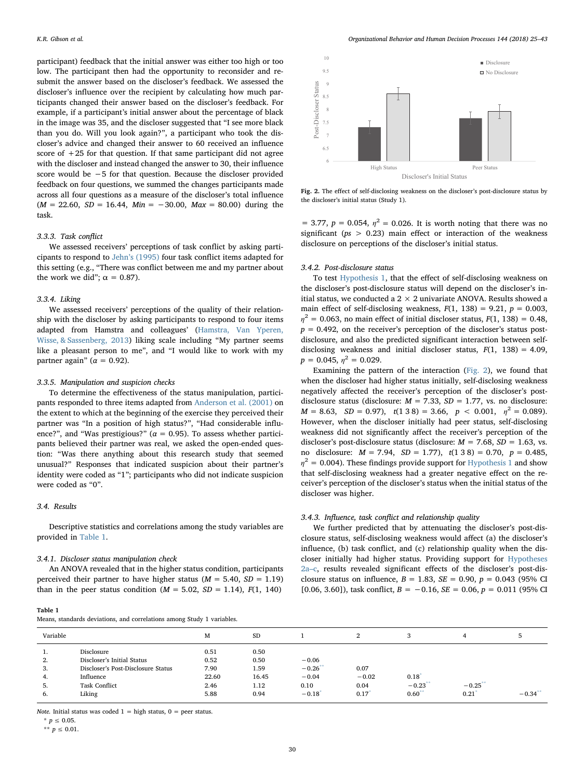participant) feedback that the initial answer was either too high or too low. The participant then had the opportunity to reconsider and resubmit the answer based on the discloser's feedback. We assessed the discloser's influence over the recipient by calculating how much participants changed their answer based on the discloser's feedback. For example, if a participant's initial answer about the percentage of black in the image was 35, and the discloser suggested that "I see more black than you do. Will you look again?", a participant who took the discloser's advice and changed their answer to 60 received an influence score of  $+25$  for that question. If that same participant did not agree with the discloser and instead changed the answer to 30, their influence score would be −5 for that question. Because the discloser provided feedback on four questions, we summed the changes participants made across all four questions as a measure of the discloser's total influence  $(M = 22.60, SD = 16.44, Min = -30.00, Max = 80.00)$  during the task.

### 3.3.3. Task conflict

We assessed receivers' perceptions of task conflict by asking participants to respond to Jehn'[s \(1995\)](#page-17-32) four task conflict items adapted for this setting (e.g., "There was conflict between me and my partner about the work we did";  $\alpha = 0.87$ ).

#### 3.3.4. Liking

We assessed receivers' perceptions of the quality of their relationship with the discloser by asking participants to respond to four items adapted from Hamstra and colleagues' ([Hamstra, Van Yperen,](#page-17-33) [Wisse, & Sassenberg, 2013](#page-17-33)) liking scale including "My partner seems like a pleasant person to me", and "I would like to work with my partner again" ( $\alpha = 0.92$ ).

#### 3.3.5. Manipulation and suspicion checks

To determine the effectiveness of the status manipulation, participants responded to three items adapted from [Anderson et al. \(2001\)](#page-16-4) on the extent to which at the beginning of the exercise they perceived their partner was "In a position of high status?", "Had considerable influence?", and "Was prestigious?" ( $\alpha = 0.95$ ). To assess whether participants believed their partner was real, we asked the open-ended question: "Was there anything about this research study that seemed unusual?" Responses that indicated suspicion about their partner's identity were coded as "1"; participants who did not indicate suspicion were coded as "0".

### 3.4. Results

Descriptive statistics and correlations among the study variables are provided in [Table 1.](#page-5-0)

### 3.4.1. Discloser status manipulation check

An ANOVA revealed that in the higher status condition, participants perceived their partner to have higher status ( $M = 5.40$ ,  $SD = 1.19$ ) than in the peer status condition ( $M = 5.02$ ,  $SD = 1.14$ ),  $F(1, 140)$ 

<span id="page-5-0"></span>Means, standards deviations, and correlations among Study 1 variables.

<span id="page-5-1"></span>

Fig. 2. The effect of self-disclosing weakness on the discloser's post-disclosure status by the discloser's initial status (Study 1).

= 3.77,  $p = 0.054$ ,  $n^2 = 0.026$ . It is worth noting that there was no significant ( $ps > 0.23$ ) main effect or interaction of the weakness disclosure on perceptions of the discloser's initial status.

#### 3.4.2. Post-disclosure status

To test [Hypothesis 1,](#page-2-0) that the effect of self-disclosing weakness on the discloser's post-disclosure status will depend on the discloser's initial status, we conducted a  $2 \times 2$  univariate ANOVA. Results showed a main effect of self-disclosing weakness,  $F(1, 138) = 9.21$ ,  $p = 0.003$ ,  $\eta^2$  = 0.063, no main effect of initial discloser status,  $F(1, 138)$  = 0.48,  $p = 0.492$ , on the receiver's perception of the discloser's status postdisclosure, and also the predicted significant interaction between selfdisclosing weakness and initial discloser status,  $F(1, 138) = 4.09$ ,  $p = 0.045$ ,  $\eta^2 = 0.029$ .

Examining the pattern of the interaction [\(Fig. 2\)](#page-5-1), we found that when the discloser had higher status initially, self-disclosing weakness negatively affected the receiver's perception of the discloser's postdisclosure status (disclosure:  $M = 7.33$ ,  $SD = 1.77$ , vs. no disclosure:  $M = 8.63$ ,  $SD = 0.97$ ,  $t(1\ 3\ 8) = 3.66$ ,  $p < 0.001$ ,  $\eta^2 = 0.089$ . However, when the discloser initially had peer status, self-disclosing weakness did not significantly affect the receiver's perception of the discloser's post-disclosure status (disclosure:  $M = 7.68$ ,  $SD = 1.63$ , vs. no disclosure:  $M = 7.94$ ,  $SD = 1.77$ ),  $t(1\ 3\ 8) = 0.70$ ,  $p = 0.485$ ,  $\eta^2$  = 0.004). These findings provide support for [Hypothesis 1](#page-2-0) and show that self-disclosing weakness had a greater negative effect on the receiver's perception of the discloser's status when the initial status of the discloser was higher.

#### 3.4.3. Influence, task conflict and relationship quality

We further predicted that by attenuating the discloser's post-disclosure status, self-disclosing weakness would affect (a) the discloser's influence, (b) task conflict, and (c) relationship quality when the discloser initially had higher status. Providing support for [Hypotheses](#page-3-2) [2a](#page-3-2)–c, results revealed significant effects of the discloser's post-disclosure status on influence,  $B = 1.83$ ,  $SE = 0.90$ ,  $p = 0.043$  (95% CI [0.06, 3.60]), task conflict,  $B = -0.16$ ,  $SE = 0.06$ ,  $p = 0.011$  (95% CI

| Variable       |                                                                                | M                     | <b>SD</b>             |                            | ົ                       | J.                              |                 |            |
|----------------|--------------------------------------------------------------------------------|-----------------------|-----------------------|----------------------------|-------------------------|---------------------------------|-----------------|------------|
| 1.<br>2.<br>3. | Disclosure<br>Discloser's Initial Status<br>Discloser's Post-Disclosure Status | 0.51<br>0.52<br>7.90  | 0.50<br>0.50<br>1.59  | $-0.06$<br>$-0.26$ **      | 0.07                    |                                 |                 |            |
| 4.<br>5.<br>6. | Influence<br><b>Task Conflict</b><br>Liking                                    | 22.60<br>2.46<br>5.88 | 16.45<br>1.12<br>0.94 | $-0.04$<br>0.10<br>$-0.18$ | $-0.02$<br>0.04<br>0.17 | 0.18<br>$-0.23$ **<br>$0.60***$ | $-0.25$<br>0.21 | $-0.34$ ** |

Note. Initial status was coded  $1 =$  high status,  $0 =$  peer status.

<span id="page-5-3"></span><span id="page-5-2"></span> $* p \leq 0.05$ .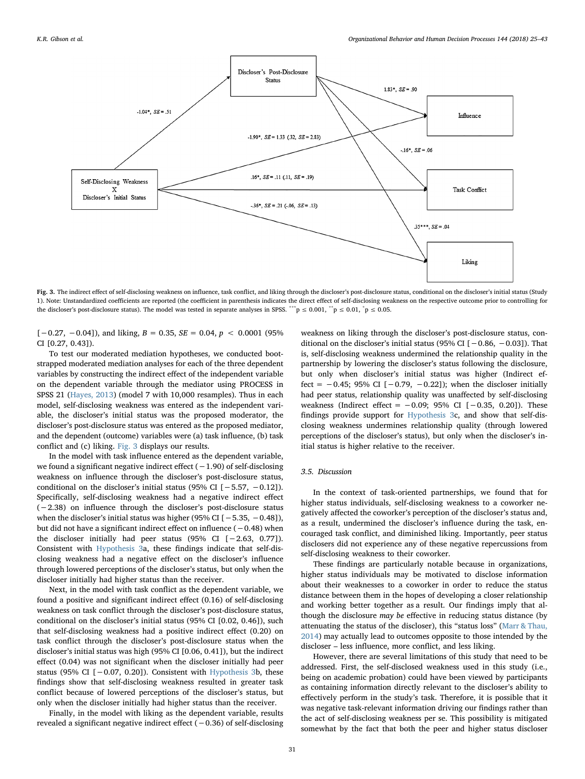<span id="page-6-0"></span>

Fig. 3. The indirect effect of self-disclosing weakness on influence, task conflict, and liking through the discloser's post-disclosure status, conditional on the discloser's initial status (Study 1). Note: Unstandardized coefficients are reported (the coefficient in parenthesis indicates the direct effect of self-disclosing weakness on the respective outcome prior to controlling for the discloser's post-disclosure status). The model was tested in separate analyses in SPSS. \*\*\*p  $\leq 0.001$ , \*\*p  $\leq 0.01$ , \*p  $\leq 0.05$ .

 $[-0.27, -0.04]$ , and liking,  $B = 0.35$ ,  $SE = 0.04$ ,  $p < 0.0001$  (95%) CI [0.27, 0.43]).

To test our moderated mediation hypotheses, we conducted bootstrapped moderated mediation analyses for each of the three dependent variables by constructing the indirect effect of the independent variable on the dependent variable through the mediator using PROCESS in SPSS 21 ([Hayes, 2013\)](#page-17-34) (model 7 with 10,000 resamples). Thus in each model, self-disclosing weakness was entered as the independent variable, the discloser's initial status was the proposed moderator, the discloser's post-disclosure status was entered as the proposed mediator, and the dependent (outcome) variables were (a) task influence, (b) task conflict and (c) liking. [Fig. 3](#page-6-0) displays our results.

In the model with task influence entered as the dependent variable, we found a significant negative indirect effect  $(-1.90)$  of self-disclosing weakness on influence through the discloser's post-disclosure status, conditional on the discloser's initial status (95% CI [−5.57, −0.12]). Specifically, self-disclosing weakness had a negative indirect effect (−2.38) on influence through the discloser's post-disclosure status when the discloser's initial status was higher (95% CI [−5.35, −0.48]), but did not have a significant indirect effect on influence (−0.48) when the discloser initially had peer status (95% CI [−2.63, 0.77]). Consistent with [Hypothesis 3a](#page-3-3), these findings indicate that self-disclosing weakness had a negative effect on the discloser's influence through lowered perceptions of the discloser's status, but only when the discloser initially had higher status than the receiver.

Next, in the model with task conflict as the dependent variable, we found a positive and significant indirect effect (0.16) of self-disclosing weakness on task conflict through the discloser's post-disclosure status, conditional on the discloser's initial status (95% CI [0.02, 0.46]), such that self-disclosing weakness had a positive indirect effect (0.20) on task conflict through the discloser's post-disclosure status when the discloser's initial status was high (95% CI [0.06, 0.41]), but the indirect effect (0.04) was not significant when the discloser initially had peer status (95% CI [ $-0.07$ , 0.20]). Consistent with [Hypothesis 3](#page-3-3)b, these findings show that self-disclosing weakness resulted in greater task conflict because of lowered perceptions of the discloser's status, but only when the discloser initially had higher status than the receiver.

Finally, in the model with liking as the dependent variable, results revealed a significant negative indirect effect (−0.36) of self-disclosing weakness on liking through the discloser's post-disclosure status, conditional on the discloser's initial status (95% CI  $[-0.86, -0.03]$ ). That is, self-disclosing weakness undermined the relationship quality in the partnership by lowering the discloser's status following the disclosure, but only when discloser's initial status was higher (Indirect effect =  $-0.45$ ; 95% CI [ $-0.79$ ,  $-0.22$ ]); when the discloser initially had peer status, relationship quality was unaffected by self-disclosing weakness (Indirect effect =  $-0.09$ ; 95% CI  $[-0.35, 0.20]$ ). These findings provide support for [Hypothesis 3c](#page-3-3), and show that self-disclosing weakness undermines relationship quality (through lowered perceptions of the discloser's status), but only when the discloser's initial status is higher relative to the receiver.

#### 3.5. Discussion

In the context of task-oriented partnerships, we found that for higher status individuals, self-disclosing weakness to a coworker negatively affected the coworker's perception of the discloser's status and, as a result, undermined the discloser's influence during the task, encouraged task conflict, and diminished liking. Importantly, peer status disclosers did not experience any of these negative repercussions from self-disclosing weakness to their coworker.

These findings are particularly notable because in organizations, higher status individuals may be motivated to disclose information about their weaknesses to a coworker in order to reduce the status distance between them in the hopes of developing a closer relationship and working better together as a result. Our findings imply that although the disclosure may be effective in reducing status distance (by attenuating the status of the discloser), this "status loss" [\(Marr & Thau,](#page-17-12) [2014\)](#page-17-12) may actually lead to outcomes opposite to those intended by the discloser – less influence, more conflict, and less liking.

However, there are several limitations of this study that need to be addressed. First, the self-disclosed weakness used in this study (i.e., being on academic probation) could have been viewed by participants as containing information directly relevant to the discloser's ability to effectively perform in the study's task. Therefore, it is possible that it was negative task-relevant information driving our findings rather than the act of self-disclosing weakness per se. This possibility is mitigated somewhat by the fact that both the peer and higher status discloser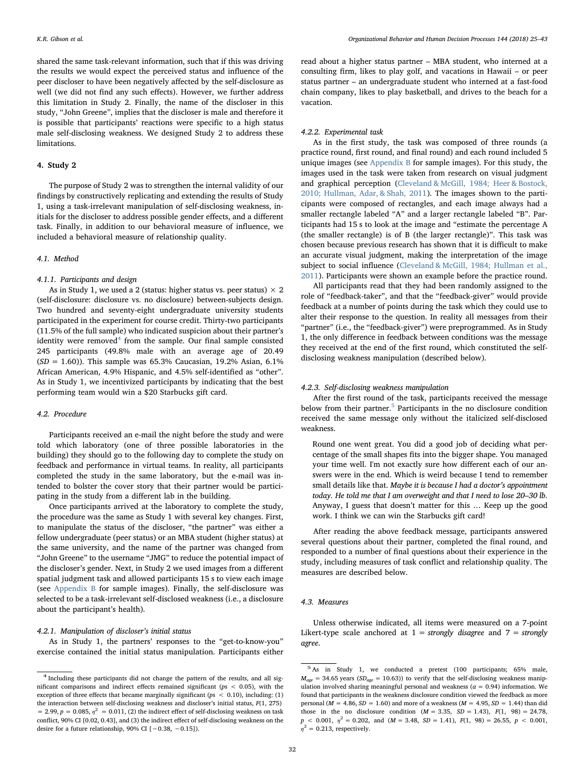shared the same task-relevant information, such that if this was driving the results we would expect the perceived status and influence of the peer discloser to have been negatively affected by the self-disclosure as well (we did not find any such effects). However, we further address this limitation in Study 2. Finally, the name of the discloser in this study, "John Greene", implies that the discloser is male and therefore it is possible that participants' reactions were specific to a high status male self-disclosing weakness. We designed Study 2 to address these limitations.

### 4. Study 2

The purpose of Study 2 was to strengthen the internal validity of our findings by constructively replicating and extending the results of Study 1, using a task-irrelevant manipulation of self-disclosing weakness, initials for the discloser to address possible gender effects, and a different task. Finally, in addition to our behavioral measure of influence, we included a behavioral measure of relationship quality.

### 4.1. Method

### 4.1.1. Participants and design

As in Study 1, we used a 2 (status: higher status vs. peer status)  $\times$  2 (self-disclosure: disclosure vs. no disclosure) between-subjects design. Two hundred and seventy-eight undergraduate university students participated in the experiment for course credit. Thirty-two participants (11.5% of the full sample) who indicated suspicion about their partner's identity were removed<sup>[4](#page-7-0)</sup> from the sample. Our final sample consisted 245 participants (49.8% male with an average age of 20.49  $(SD = 1.60)$ ). This sample was 65.3% Caucasian, 19.2% Asian, 6.1% African American, 4.9% Hispanic, and 4.5% self-identified as "other". As in Study 1, we incentivized participants by indicating that the best performing team would win a \$20 Starbucks gift card.

#### 4.2. Procedure

Participants received an e-mail the night before the study and were told which laboratory (one of three possible laboratories in the building) they should go to the following day to complete the study on feedback and performance in virtual teams. In reality, all participants completed the study in the same laboratory, but the e-mail was intended to bolster the cover story that their partner would be participating in the study from a different lab in the building.

Once participants arrived at the laboratory to complete the study, the procedure was the same as Study 1 with several key changes. First, to manipulate the status of the discloser, "the partner" was either a fellow undergraduate (peer status) or an MBA student (higher status) at the same university, and the name of the partner was changed from "John Greene" to the username "JMG" to reduce the potential impact of the discloser's gender. Next, in Study 2 we used images from a different spatial judgment task and allowed participants 15 s to view each image (see [Appendix B](#page-15-0) for sample images). Finally, the self-disclosure was selected to be a task-irrelevant self-disclosed weakness (i.e., a disclosure about the participant's health).

### 4.2.1. Manipulation of discloser's initial status

As in Study 1, the partners' responses to the "get-to-know-you" exercise contained the initial status manipulation. Participants either read about a higher status partner – MBA student, who interned at a consulting firm, likes to play golf, and vacations in Hawaii – or peer status partner – an undergraduate student who interned at a fast-food chain company, likes to play basketball, and drives to the beach for a vacation.

### 4.2.2. Experimental task

As in the first study, the task was composed of three rounds (a practice round, first round, and final round) and each round included 5 unique images (see [Appendix B](#page-15-0) for sample images). For this study, the images used in the task were taken from research on visual judgment and graphical perception [\(Cleveland & McGill, 1984; Heer & Bostock,](#page-17-35) [2010; Hullman, Adar, & Shah, 2011\)](#page-17-35). The images shown to the participants were composed of rectangles, and each image always had a smaller rectangle labeled "A" and a larger rectangle labeled "B". Participants had 15 s to look at the image and "estimate the percentage A (the smaller rectangle) is of B (the larger rectangle)". This task was chosen because previous research has shown that it is difficult to make an accurate visual judgment, making the interpretation of the image subject to social influence [\(Cleveland & McGill, 1984; Hullman et al.,](#page-17-35) [2011\)](#page-17-35). Participants were shown an example before the practice round.

All participants read that they had been randomly assigned to the role of "feedback-taker", and that the "feedback-giver" would provide feedback at a number of points during the task which they could use to alter their response to the question. In reality all messages from their "partner" (i.e., the "feedback-giver") were preprogrammed. As in Study 1, the only difference in feedback between conditions was the message they received at the end of the first round, which constituted the selfdisclosing weakness manipulation (described below).

#### 4.2.3. Self-disclosing weakness manipulation

After the first round of the task, participants received the message below from their partner.<sup>[5](#page-7-1)</sup> Participants in the no disclosure condition received the same message only without the italicized self-disclosed weakness.

Round one went great. You did a good job of deciding what percentage of the small shapes fits into the bigger shape. You managed your time well. I'm not exactly sure how different each of our answers were in the end. Which is weird because I tend to remember small details like that. Maybe it is because I had a doctor's appointment today. He told me that I am overweight and that I need to lose 20–30 lb. Anyway, I guess that doesn't matter for this … Keep up the good work. I think we can win the Starbucks gift card!

After reading the above feedback message, participants answered several questions about their partner, completed the final round, and responded to a number of final questions about their experience in the study, including measures of task conflict and relationship quality. The measures are described below.

### 4.3. Measures

Unless otherwise indicated, all items were measured on a 7-point Likert-type scale anchored at  $1 =$  strongly disagree and  $7 =$  strongly agree.

<span id="page-7-0"></span><sup>4</sup> Including these participants did not change the pattern of the results, and all significant comparisons and indirect effects remained significant ( $ps < 0.05$ ), with the exception of three effects that became marginally significant ( $ps < 0.10$ ), including: (1) the interaction between self-disclosing weakness and discloser's initial status, F(1, 275) = 2.99,  $p = 0.085$ ,  $\eta^2 = 0.011$ , (2) the indirect effect of self-disclosing weakness on task conflict, 90% CI [0.02, 0.43], and (3) the indirect effect of self-disclosing weakness on the desire for a future relationship, 90% CI [−0.38, −0.15]).

<span id="page-7-1"></span><sup>5</sup> As in Study 1, we conducted a pretest (100 participants; 65% male,  $M_{\text{age}} = 34.65$  years (SD<sub>age</sub> = 10.63)) to verify that the self-disclosing weakness manipulation involved sharing meaningful personal and weakness ( $\alpha = 0.94$ ) information. We found that participants in the weakness disclosure condition viewed the feedback as more personal ( $M = 4.86$ ,  $SD = 1.60$ ) and more of a weakness ( $M = 4.95$ ,  $SD = 1.44$ ) than did those in the no disclosure condition  $(M = 3.35, SD = 1.43), F(1, 98) = 24.78$ ,  $p < 0.001$ ,  $\eta^2 = 0.202$ , and  $(M = 3.48, SD = 1.41)$ ,  $F(1, 98) = 26.55$ ,  $p < 0.001$ ,  $n^2 = 0.213$ , respectively.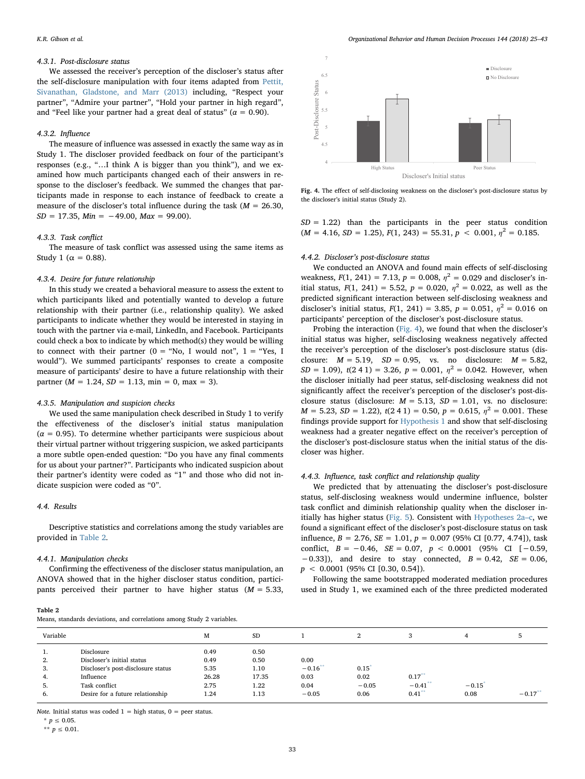#### 4.3.1. Post-disclosure status

We assessed the receiver's perception of the discloser's status after the self-disclosure manipulation with four items adapted from [Pettit,](#page-17-36) [Sivanathan, Gladstone, and Marr \(2013\)](#page-17-36) including, "Respect your partner", "Admire your partner", "Hold your partner in high regard", and "Feel like your partner had a great deal of status" ( $\alpha = 0.90$ ).

### 4.3.2. Influence

The measure of influence was assessed in exactly the same way as in Study 1. The discloser provided feedback on four of the participant's responses (e.g., "…I think A is bigger than you think"), and we examined how much participants changed each of their answers in response to the discloser's feedback. We summed the changes that participants made in response to each instance of feedback to create a measure of the discloser's total influence during the task ( $M = 26.30$ ,  $SD = 17.35$ ,  $Min = -49.00$ ,  $Max = 99.00$ ).

### 4.3.3. Task conflict

The measure of task conflict was assessed using the same items as Study 1 ( $\alpha = 0.88$ ).

#### 4.3.4. Desire for future relationship

In this study we created a behavioral measure to assess the extent to which participants liked and potentially wanted to develop a future relationship with their partner (i.e., relationship quality). We asked participants to indicate whether they would be interested in staying in touch with the partner via e-mail, LinkedIn, and Facebook. Participants could check a box to indicate by which method(s) they would be willing to connect with their partner ( $0 =$  "No, I would not",  $1 =$  "Yes, I would"). We summed participants' responses to create a composite measure of participants' desire to have a future relationship with their partner ( $M = 1.24$ ,  $SD = 1.13$ ,  $min = 0$ ,  $max = 3$ ).

#### 4.3.5. Manipulation and suspicion checks

We used the same manipulation check described in Study 1 to verify the effectiveness of the discloser's initial status manipulation  $(\alpha = 0.95)$ . To determine whether participants were suspicious about their virtual partner without triggering suspicion, we asked participants a more subtle open-ended question: "Do you have any final comments for us about your partner?". Participants who indicated suspicion about their partner's identity were coded as "1" and those who did not indicate suspicion were coded as "0".

### 4.4. Results

Descriptive statistics and correlations among the study variables are provided in [Table 2.](#page-8-0)

### 4.4.1. Manipulation checks

Confirming the effectiveness of the discloser status manipulation, an ANOVA showed that in the higher discloser status condition, participants perceived their partner to have higher status  $(M = 5.33)$ ,

<span id="page-8-1"></span>

Fig. 4. The effect of self-disclosing weakness on the discloser's post-disclosure status by the discloser's initial status (Study 2).

 $SD = 1.22$ ) than the participants in the peer status condition  $(M = 4.16, SD = 1.25), F(1, 243) = 55.31, p < 0.001, \eta^2 = 0.185.$ 

#### 4.4.2. Discloser's post-disclosure status

We conducted an ANOVA and found main effects of self-disclosing weakness,  $F(1, 241) = 7.13$ ,  $p = 0.008$ ,  $n^2 = 0.029$  and discloser's initial status,  $F(1, 241) = 5.52$ ,  $p = 0.020$ ,  $p^2 = 0.022$ , as well as the predicted significant interaction between self-disclosing weakness and discloser's initial status,  $F(1, 241) = 3.85$ ,  $p = 0.051$ ,  $\eta^2 = 0.016$  on participants' perception of the discloser's post-disclosure status.

Probing the interaction ([Fig. 4\)](#page-8-1), we found that when the discloser's initial status was higher, self-disclosing weakness negatively affected the receiver's perception of the discloser's post-disclosure status (disclosure:  $M = 5.19$ ,  $SD = 0.95$ , vs. no disclosure:  $M = 5.82$ ,  $SD = 1.09$ ,  $t(2 4 1) = 3.26$ ,  $p = 0.001$ ,  $\eta^2 = 0.042$ . However, when the discloser initially had peer status, self-disclosing weakness did not significantly affect the receiver's perception of the discloser's post-disclosure status (disclosure:  $M = 5.13$ ,  $SD = 1.01$ , vs. no disclosure:  $M = 5.23$ ,  $SD = 1.22$ ),  $t(2 4 1) = 0.50$ ,  $p = 0.615$ ,  $\eta^2 = 0.001$ . These findings provide support for [Hypothesis 1](#page-2-0) and show that self-disclosing weakness had a greater negative effect on the receiver's perception of the discloser's post-disclosure status when the initial status of the discloser was higher.

#### 4.4.3. Influence, task conflict and relationship quality

We predicted that by attenuating the discloser's post-disclosure status, self-disclosing weakness would undermine influence, bolster task conflict and diminish relationship quality when the discloser initially has higher status [\(Fig. 5\)](#page-9-0). Consistent with [Hypotheses 2a](#page-3-2)–c, we found a significant effect of the discloser's post-disclosure status on task influence,  $B = 2.76$ ,  $SE = 1.01$ ,  $p = 0.007$  (95% CI [0.77, 4.74]), task conflict,  $B = -0.46$ ,  $SE = 0.07$ ,  $p < 0.0001$  (95% CI [-0.59,  $-0.33$ ]), and desire to stay connected,  $B = 0.42$ ,  $SE = 0.06$ ,  $p < 0.0001$  (95% CI [0.30, 0.54]).

Following the same bootstrapped moderated mediation procedures used in Study 1, we examined each of the three predicted moderated

#### <span id="page-8-0"></span>Table 2

Means, standards deviations, and correlations among Study 2 variables.

| Variable                         |                                                                                                                                                  | М                                             | <b>SD</b>                                     |                                            | $\Omega$                        |                                                  |                 |            |
|----------------------------------|--------------------------------------------------------------------------------------------------------------------------------------------------|-----------------------------------------------|-----------------------------------------------|--------------------------------------------|---------------------------------|--------------------------------------------------|-----------------|------------|
| 1.<br>2.<br>3.<br>4.<br>5.<br>6. | Disclosure<br>Discloser's initial status<br>Discloser's post-disclosure status<br>Influence<br>Task conflict<br>Desire for a future relationship | 0.49<br>0.49<br>5.35<br>26.28<br>2.75<br>1.24 | 0.50<br>0.50<br>1.10<br>17.35<br>1.22<br>1.13 | 0.00<br>$-0.16$<br>0.03<br>0.04<br>$-0.05$ | 0.15<br>0.02<br>$-0.05$<br>0.06 | $0.17^{n}$<br>$-0.41$ <sup>**</sup><br>$0.41$ ** | $-0.15$<br>0.08 | $-0.17$ ** |

Note. Initial status was coded  $1 =$  high status,  $0 =$  peer status.

<span id="page-8-3"></span><span id="page-8-2"></span>\*  $p \le 0.05$ .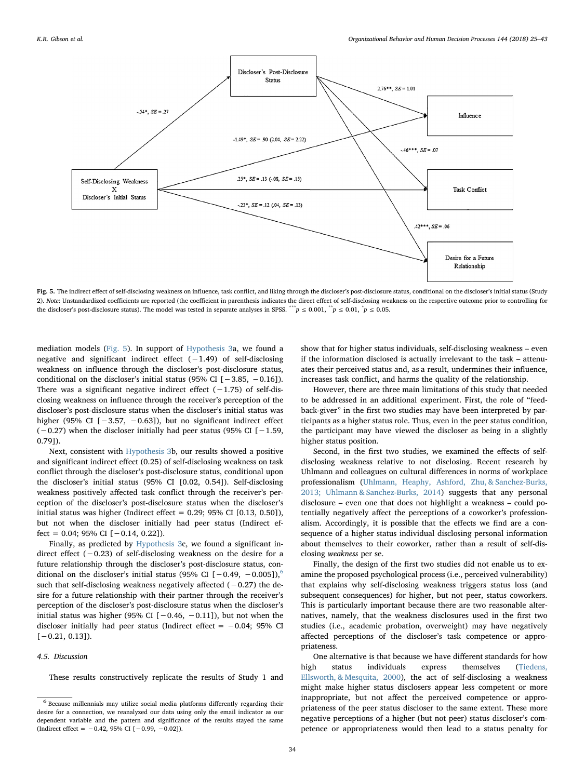<span id="page-9-0"></span>

Fig. 5. The indirect effect of self-disclosing weakness on influence, task conflict, and liking through the discloser's post-disclosure status, conditional on the discloser's initial status (Study 2). Note: Unstandardized coefficients are reported (the coefficient in parenthesis indicates the direct effect of self-disclosing weakness on the respective outcome prior to controlling for the discloser's post-disclosure status). The model was tested in separate analyses in SPSS. \*\*\*p  $\leq 0.001$ , \*p  $\leq 0.01$ , \*p  $\leq 0.05$ .

mediation models [\(Fig. 5\)](#page-9-0). In support of [Hypothesis 3a](#page-3-3), we found a negative and significant indirect effect (−1.49) of self-disclosing weakness on influence through the discloser's post-disclosure status, conditional on the discloser's initial status (95% CI [ $-3.85, -0.16$ ]). There was a significant negative indirect effect  $(-1.75)$  of self-disclosing weakness on influence through the receiver's perception of the discloser's post-disclosure status when the discloser's initial status was higher (95% CI [−3.57, −0.63]), but no significant indirect effect  $(-0.27)$  when the discloser initially had peer status (95% CI [-1.59, 0.79]).

Next, consistent with [Hypothesis 3b](#page-3-3), our results showed a positive and significant indirect effect (0.25) of self-disclosing weakness on task conflict through the discloser's post-disclosure status, conditional upon the discloser's initial status (95% CI [0.02, 0.54]). Self-disclosing weakness positively affected task conflict through the receiver's perception of the discloser's post-disclosure status when the discloser's initial status was higher (Indirect effect =  $0.29$ ;  $95\%$  CI [0.13, 0.50]), but not when the discloser initially had peer status (Indirect effect = 0.04; 95% CI  $[-0.14, 0.22]$ ).

Finally, as predicted by [Hypothesis 3](#page-3-3)c, we found a significant indirect effect (−0.23) of self-disclosing weakness on the desire for a future relationship through the discloser's post-disclosure status, conditional on the discloser's initial status (95% CI [ $-0.49, -0.005$ ]),<sup>[6](#page-9-1)</sup> such that self-disclosing weakness negatively affected (−0.27) the desire for a future relationship with their partner through the receiver's perception of the discloser's post-disclosure status when the discloser's initial status was higher (95% CI [ $-0.46$ ,  $-0.11$ ]), but not when the discloser initially had peer status (Indirect effect =  $-0.04$ ; 95% CI  $[-0.21, 0.13]$ ).

### 4.5. Discussion

These results constructively replicate the results of Study 1 and

show that for higher status individuals, self-disclosing weakness – even if the information disclosed is actually irrelevant to the task – attenuates their perceived status and, as a result, undermines their influence, increases task conflict, and harms the quality of the relationship.

However, there are three main limitations of this study that needed to be addressed in an additional experiment. First, the role of "feedback-giver" in the first two studies may have been interpreted by participants as a higher status role. Thus, even in the peer status condition, the participant may have viewed the discloser as being in a slightly higher status position.

Second, in the first two studies, we examined the effects of selfdisclosing weakness relative to not disclosing. Recent research by Uhlmann and colleagues on cultural differences in norms of workplace professionalism ([Uhlmann, Heaphy, Ashford, Zhu, & Sanchez-Burks,](#page-18-1) [2013; Uhlmann & Sanchez-Burks, 2014](#page-18-1)) suggests that any personal disclosure – even one that does not highlight a weakness – could potentially negatively affect the perceptions of a coworker's professionalism. Accordingly, it is possible that the effects we find are a consequence of a higher status individual disclosing personal information about themselves to their coworker, rather than a result of self-disclosing weakness per se.

Finally, the design of the first two studies did not enable us to examine the proposed psychological process (i.e., perceived vulnerability) that explains why self-disclosing weakness triggers status loss (and subsequent consequences) for higher, but not peer, status coworkers. This is particularly important because there are two reasonable alternatives, namely, that the weakness disclosures used in the first two studies (i.e., academic probation, overweight) may have negatively affected perceptions of the discloser's task competence or appropriateness.

One alternative is that because we have different standards for how high status individuals express themselves [\(Tiedens,](#page-17-37) [Ellsworth, & Mesquita, 2000](#page-17-37)), the act of self-disclosing a weakness might make higher status disclosers appear less competent or more inappropriate, but not affect the perceived competence or appropriateness of the peer status discloser to the same extent. These more negative perceptions of a higher (but not peer) status discloser's competence or appropriateness would then lead to a status penalty for

<span id="page-9-1"></span><sup>6</sup> Because millennials may utilize social media platforms differently regarding their desire for a connection, we reanalyzed our data using only the email indicator as our dependent variable and the pattern and significance of the results stayed the same (Indirect effect =  $-0.42$ , 95% CI [ $-0.99$ ,  $-0.02$ ]).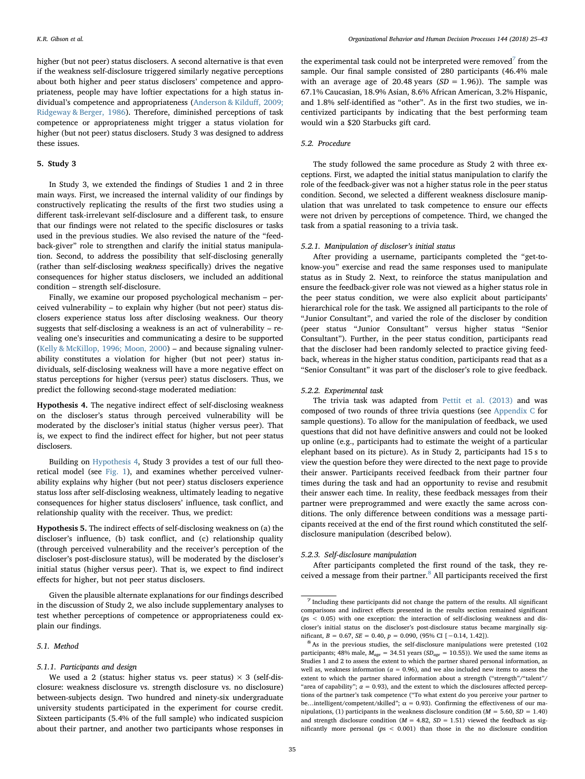higher (but not peer) status disclosers. A second alternative is that even if the weakness self-disclosure triggered similarly negative perceptions about both higher and peer status disclosers' competence and appropriateness, people may have loftier expectations for a high status individual's competence and appropriateness [\(Anderson & Kildu](#page-16-6)ff, 2009; [Ridgeway & Berger, 1986\)](#page-16-6). Therefore, diminished perceptions of task competence or appropriateness might trigger a status violation for higher (but not peer) status disclosers. Study 3 was designed to address these issues.

### 5. Study 3

In Study 3, we extended the findings of Studies 1 and 2 in three main ways. First, we increased the internal validity of our findings by constructively replicating the results of the first two studies using a different task-irrelevant self-disclosure and a different task, to ensure that our findings were not related to the specific disclosures or tasks used in the previous studies. We also revised the nature of the "feedback-giver" role to strengthen and clarify the initial status manipulation. Second, to address the possibility that self-disclosing generally (rather than self-disclosing weakness specifically) drives the negative consequences for higher status disclosers, we included an additional condition – strength self-disclosure.

Finally, we examine our proposed psychological mechanism – perceived vulnerability – to explain why higher (but not peer) status disclosers experience status loss after disclosing weakness. Our theory suggests that self-disclosing a weakness is an act of vulnerability – revealing one's insecurities and communicating a desire to be supported ([Kelly & McKillop, 1996; Moon, 2000](#page-17-26)) – and because signaling vulnerability constitutes a violation for higher (but not peer) status individuals, self-disclosing weakness will have a more negative effect on status perceptions for higher (versus peer) status disclosers. Thus, we predict the following second-stage moderated mediation:

<span id="page-10-0"></span>Hypothesis 4. The negative indirect effect of self-disclosing weakness on the discloser's status through perceived vulnerability will be moderated by the discloser's initial status (higher versus peer). That is, we expect to find the indirect effect for higher, but not peer status disclosers.

Building on [Hypothesis 4,](#page-10-0) Study 3 provides a test of our full theoretical model (see [Fig. 1](#page-3-0)), and examines whether perceived vulnerability explains why higher (but not peer) status disclosers experience status loss after self-disclosing weakness, ultimately leading to negative consequences for higher status disclosers' influence, task conflict, and relationship quality with the receiver. Thus, we predict:

<span id="page-10-3"></span>Hypothesis 5. The indirect effects of self-disclosing weakness on (a) the discloser's influence, (b) task conflict, and (c) relationship quality (through perceived vulnerability and the receiver's perception of the discloser's post-disclosure status), will be moderated by the discloser's initial status (higher versus peer). That is, we expect to find indirect effects for higher, but not peer status disclosers.

Given the plausible alternate explanations for our findings described in the discussion of Study 2, we also include supplementary analyses to test whether perceptions of competence or appropriateness could explain our findings.

### 5.1. Method

### 5.1.1. Participants and design

We used a 2 (status: higher status vs. peer status)  $\times$  3 (self-disclosure: weakness disclosure vs. strength disclosure vs. no disclosure) between-subjects design. Two hundred and ninety-six undergraduate university students participated in the experiment for course credit. Sixteen participants (5.4% of the full sample) who indicated suspicion about their partner, and another two participants whose responses in

the experimental task could not be interpreted were removed<sup>[7](#page-10-1)</sup> from the sample. Our final sample consisted of 280 participants (46.4% male with an average age of 20.48 years  $(SD = 1.96)$ ). The sample was 67.1% Caucasian, 18.9% Asian, 8.6% African American, 3.2% Hispanic, and 1.8% self-identified as "other". As in the first two studies, we incentivized participants by indicating that the best performing team would win a \$20 Starbucks gift card.

#### 5.2. Procedure

The study followed the same procedure as Study 2 with three exceptions. First, we adapted the initial status manipulation to clarify the role of the feedback-giver was not a higher status role in the peer status condition. Second, we selected a different weakness disclosure manipulation that was unrelated to task competence to ensure our effects were not driven by perceptions of competence. Third, we changed the task from a spatial reasoning to a trivia task.

### 5.2.1. Manipulation of discloser's initial status

After providing a username, participants completed the "get-toknow-you" exercise and read the same responses used to manipulate status as in Study 2. Next, to reinforce the status manipulation and ensure the feedback-giver role was not viewed as a higher status role in the peer status condition, we were also explicit about participants' hierarchical role for the task. We assigned all participants to the role of "Junior Consultant", and varied the role of the discloser by condition (peer status "Junior Consultant" versus higher status "Senior Consultant"). Further, in the peer status condition, participants read that the discloser had been randomly selected to practice giving feedback, whereas in the higher status condition, participants read that as a "Senior Consultant" it was part of the discloser's role to give feedback.

#### 5.2.2. Experimental task

The trivia task was adapted from [Pettit et al. \(2013\)](#page-17-36) and was composed of two rounds of three trivia questions (see [Appendix C](#page-16-7) for sample questions). To allow for the manipulation of feedback, we used questions that did not have definitive answers and could not be looked up online (e.g., participants had to estimate the weight of a particular elephant based on its picture). As in Study 2, participants had 15 s to view the question before they were directed to the next page to provide their answer. Participants received feedback from their partner four times during the task and had an opportunity to revise and resubmit their answer each time. In reality, these feedback messages from their partner were preprogrammed and were exactly the same across conditions. The only difference between conditions was a message participants received at the end of the first round which constituted the selfdisclosure manipulation (described below).

#### 5.2.3. Self-disclosure manipulation

After participants completed the first round of the task, they re-ceived a message from their partner.<sup>[8](#page-10-2)</sup> All participants received the first

<span id="page-10-1"></span> $^7$  Including these participants did not change the pattern of the results. All significant comparisons and indirect effects presented in the results section remained significant  $(ps < 0.05)$  with one exception: the interaction of self-disclosing weakness and discloser's initial status on the discloser's post-disclosure status became marginally significant,  $B = 0.67$ ,  $SE = 0.40$ ,  $p = 0.090$ , (95% CI [-0.14, 1.42]).

<span id="page-10-2"></span> $8$  As in the previous studies, the self-disclosure manipulations were pretested (102 participants; 48% male,  $M_{age} = 34.51$  years ( $SD_{age} = 10.55$ )). We used the same items as Studies 1 and 2 to assess the extent to which the partner shared personal information, as well as, weakness information ( $\alpha = 0.96$ ), and we also included new items to assess the extent to which the partner shared information about a strength ("strength"/"talent"/ "area of capability";  $\alpha = 0.93$ ), and the extent to which the disclosures affected perceptions of the partner's task competence ("To what extent do you perceive your partner to be...intelligent/competent/skilled";  $\alpha = 0.93$ ). Confirming the effectiveness of our manipulations, (1) participants in the weakness disclosure condition ( $M = 5.60$ ,  $SD = 1.40$ ) and strength disclosure condition ( $M = 4.82$ ,  $SD = 1.51$ ) viewed the feedback as significantly more personal (ps < 0.001) than those in the no disclosure condition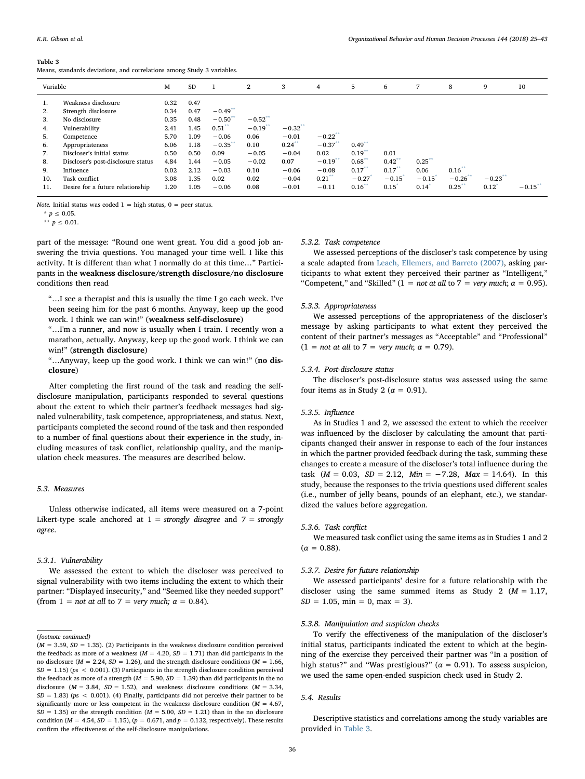#### <span id="page-11-0"></span>Table 3

Means, standards deviations, and correlations among Study 3 variables.

| Variable                                                                                                                                                                                                                                      |                                                                        | М                                                                                    | <b>SD</b>                                                                            |                                                                                                               | $\overline{2}$                                                                        | 3                                                                                 | 4                                                                                                       | 5                                                                                         | 6                                                             | 7                                            | 8                            | 9                      | 10         |
|-----------------------------------------------------------------------------------------------------------------------------------------------------------------------------------------------------------------------------------------------|------------------------------------------------------------------------|--------------------------------------------------------------------------------------|--------------------------------------------------------------------------------------|---------------------------------------------------------------------------------------------------------------|---------------------------------------------------------------------------------------|-----------------------------------------------------------------------------------|---------------------------------------------------------------------------------------------------------|-------------------------------------------------------------------------------------------|---------------------------------------------------------------|----------------------------------------------|------------------------------|------------------------|------------|
| Weakness disclosure<br>1.<br>Strength disclosure<br>2.<br>No disclosure<br>3.<br>Vulnerability<br>4.<br>5.<br>Competence<br>6.<br>Appropriateness<br>Discloser's initial status<br>7.<br>8.<br>Influence<br>9.<br>Task conflict<br>10.<br>11. | Discloser's post-disclosure status<br>Desire for a future relationship | 0.32<br>0.34<br>0.35<br>2.41<br>5.70<br>6.06<br>0.50<br>4.84<br>0.02<br>3.08<br>1.20 | 0.47<br>0.47<br>0.48<br>1.45<br>1.09<br>1.18<br>0.50<br>1.44<br>2.12<br>1.35<br>1.05 | $-0.49$ **<br>$-0.50^{*}$<br>$0.51$ **<br>$-0.06$<br>$-0.35$<br>0.09<br>$-0.05$<br>$-0.03$<br>0.02<br>$-0.06$ | $-0.52$ **<br>$-0.19**$<br>0.06<br>0.10<br>$-0.05$<br>$-0.02$<br>0.10<br>0.02<br>0.08 | $-0.32$ **<br>$-0.01$<br>0.24<br>$-0.04$<br>0.07<br>$-0.06$<br>$-0.04$<br>$-0.01$ | $-0.22$ <sup>**</sup><br>$-0.37$ **<br>0.02<br>$-0.19$ <sup>**</sup><br>$-0.08$<br>$0.21$ **<br>$-0.11$ | $0.49$ **<br>$0.19$ <sup>**</sup><br>0.68<br>$0.17$ **<br>$-0.27$<br>$0.16$ <sup>**</sup> | 0.01<br>0.42<br>$0.17***$<br>$-0.15$ <sup>*</sup><br>$0.15^*$ | 0.25<br>0.06<br>$-0.15$ <sup>*</sup><br>0.14 | 0.16<br>$-0.26$<br>$0.25***$ | $-0.23$ **<br>$0.12^*$ | $-0.15$ ** |
|                                                                                                                                                                                                                                               |                                                                        |                                                                                      |                                                                                      |                                                                                                               |                                                                                       |                                                                                   |                                                                                                         |                                                                                           |                                                               |                                              |                              |                        |            |

Note. Initial status was coded  $1 =$  high status,  $0 =$  peer status.

<span id="page-11-2"></span>\*  $p \le 0.05$ .

<span id="page-11-1"></span>\*\*  $p \le 0.01$ .

part of the message: "Round one went great. You did a good job answering the trivia questions. You managed your time well. I like this activity. It is different than what I normally do at this time…" Participants in the weakness disclosure/strength disclosure/no disclosure conditions then read

"…I see a therapist and this is usually the time I go each week. I've been seeing him for the past 6 months. Anyway, keep up the good work. I think we can win!" (weakness self-disclosure)

"…I'm a runner, and now is usually when I train. I recently won a marathon, actually. Anyway, keep up the good work. I think we can win!" (strength disclosure)

"...Anyway, keep up the good work. I think we can win!" (no disclosure)

After completing the first round of the task and reading the selfdisclosure manipulation, participants responded to several questions about the extent to which their partner's feedback messages had signaled vulnerability, task competence, appropriateness, and status. Next, participants completed the second round of the task and then responded to a number of final questions about their experience in the study, including measures of task conflict, relationship quality, and the manipulation check measures. The measures are described below.

### 5.3. Measures

Unless otherwise indicated, all items were measured on a 7-point Likert-type scale anchored at  $1 =$  strongly disagree and  $7 =$  strongly agree.

#### 5.3.1. Vulnerability

We assessed the extent to which the discloser was perceived to signal vulnerability with two items including the extent to which their partner: "Displayed insecurity," and "Seemed like they needed support" (from 1 = not at all to 7 = very much;  $\alpha$  = 0.84).

#### 5.3.2. Task competence

We assessed perceptions of the discloser's task competence by using a scale adapted from [Leach, Ellemers, and Barreto \(2007\)](#page-17-38), asking participants to what extent they perceived their partner as "Intelligent," "Competent," and "Skilled" (1 = not at all to 7 = very much;  $\alpha$  = 0.95).

#### 5.3.3. Appropriateness

We assessed perceptions of the appropriateness of the discloser's message by asking participants to what extent they perceived the content of their partner's messages as "Acceptable" and "Professional"  $(1 = not at all to 7 = very much; \alpha = 0.79).$ 

### 5.3.4. Post-disclosure status

The discloser's post-disclosure status was assessed using the same four items as in Study 2 ( $\alpha$  = 0.91).

### 5.3.5. Influence

As in Studies 1 and 2, we assessed the extent to which the receiver was influenced by the discloser by calculating the amount that participants changed their answer in response to each of the four instances in which the partner provided feedback during the task, summing these changes to create a measure of the discloser's total influence during the task  $(M = 0.03, SD = 2.12, Min = -7.28, Max = 14.64)$ . In this study, because the responses to the trivia questions used different scales (i.e., number of jelly beans, pounds of an elephant, etc.), we standardized the values before aggregation.

#### 5.3.6. Task conflict

We measured task conflict using the same items as in Studies 1 and 2  $(\alpha = 0.88)$ .

#### 5.3.7. Desire for future relationship

We assessed participants' desire for a future relationship with the discloser using the same summed items as Study 2 ( $M = 1.17$ ,  $SD = 1.05$ , min = 0, max = 3).

### 5.3.8. Manipulation and suspicion checks

To verify the effectiveness of the manipulation of the discloser's initial status, participants indicated the extent to which at the beginning of the exercise they perceived their partner was "In a position of high status?" and "Was prestigious?" ( $\alpha$  = 0.91). To assess suspicion, we used the same open-ended suspicion check used in Study 2.

#### 5.4. Results

Descriptive statistics and correlations among the study variables are provided in [Table 3.](#page-11-0)

<sup>(</sup>footnote continued)

 $(M = 3.59, SD = 1.35)$ . (2) Participants in the weakness disclosure condition perceived the feedback as more of a weakness ( $M = 4.20$ ,  $SD = 1.71$ ) than did participants in the no disclosure ( $M = 2.24$ ,  $SD = 1.26$ ), and the strength disclosure conditions ( $M = 1.66$ ,  $SD = 1.15$ ) (ps < 0.001). (3) Participants in the strength disclosure condition perceived the feedback as more of a strength ( $\overrightarrow{M}$  = 5.90,  $\overrightarrow{SD}$  = 1.39) than did participants in the no disclosure ( $M = 3.84$ ,  $SD = 1.52$ ), and weakness disclosure conditions ( $M = 3.34$ ,  $SD = 1.83$ ) (ps < 0.001). (4) Finally, participants did not perceive their partner to be significantly more or less competent in the weakness disclosure condition ( $M = 4.67$ ,  $SD = 1.35$ ) or the strength condition ( $M = 5.00$ ,  $SD = 1.21$ ) than in the no disclosure condition ( $M = 4.54$ ,  $SD = 1.15$ ), ( $p = 0.671$ , and  $p = 0.132$ , respectively). These results confirm the effectiveness of the self-disclosure manipulations.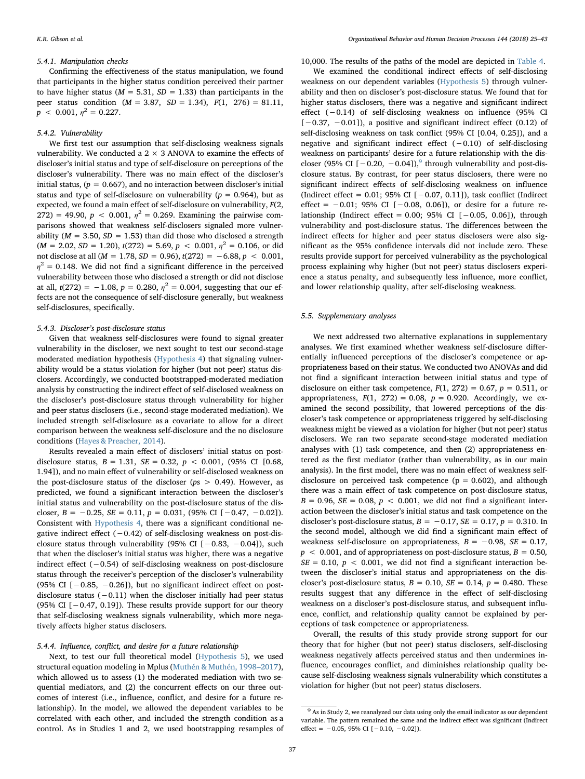#### 5.4.1. Manipulation checks

Confirming the effectiveness of the status manipulation, we found that participants in the higher status condition perceived their partner to have higher status ( $M = 5.31$ ,  $SD = 1.33$ ) than participants in the peer status condition ( $M = 3.87$ ,  $SD = 1.34$ ),  $F(1, 276) = 81.11$ ,  $p < 0.001, \eta^2 = 0.227.$ 

### 5.4.2. Vulnerability

We first test our assumption that self-disclosing weakness signals vulnerability. We conducted a  $2 \times 3$  ANOVA to examine the effects of discloser's initial status and type of self-disclosure on perceptions of the discloser's vulnerability. There was no main effect of the discloser's initial status,  $(p = 0.667)$ , and no interaction between discloser's initial status and type of self-disclosure on vulnerability ( $p = 0.964$ ), but as expected, we found a main effect of self-disclosure on vulnerability,  $F(2)$ , 272) = 49.90,  $p < 0.001$ ,  $\eta^2 = 0.269$ . Examining the pairwise comparisons showed that weakness self-disclosers signaled more vulnerability ( $M = 3.50$ ,  $SD = 1.53$ ) than did those who disclosed a strength  $(M = 2.02, SD = 1.20), t(272) = 5.69, p < 0.001, \eta^2 = 0.106$ , or did not disclose at all ( $M = 1.78$ ,  $SD = 0.96$ ),  $t(272) = -6.88$ ,  $p < 0.001$ ,  $\eta^2$  = 0.148. We did not find a significant difference in the perceived vulnerability between those who disclosed a strength or did not disclose at all,  $t(272) = -1.08$ ,  $p = 0.280$ ,  $\eta^2 = 0.004$ , suggesting that our effects are not the consequence of self-disclosure generally, but weakness self-disclosures, specifically.

#### 5.4.3. Discloser's post-disclosure status

Given that weakness self-disclosures were found to signal greater vulnerability in the discloser, we next sought to test our second-stage moderated mediation hypothesis ([Hypothesis 4](#page-10-0)) that signaling vulnerability would be a status violation for higher (but not peer) status disclosers. Accordingly, we conducted bootstrapped-moderated mediation analysis by constructing the indirect effect of self-disclosed weakness on the discloser's post-disclosure status through vulnerability for higher and peer status disclosers (i.e., second-stage moderated mediation). We included strength self-disclosure as a covariate to allow for a direct comparison between the weakness self-disclosure and the no disclosure conditions ([Hayes & Preacher, 2014\)](#page-17-39).

Results revealed a main effect of disclosers' initial status on postdisclosure status,  $B = 1.31$ ,  $SE = 0.32$ ,  $p < 0.001$ , (95% CI [0.68, 1.94]), and no main effect of vulnerability or self-disclosed weakness on the post-disclosure status of the discloser ( $ps > 0.49$ ). However, as predicted, we found a significant interaction between the discloser's initial status and vulnerability on the post-disclosure status of the discloser,  $B = -0.25$ ,  $SE = 0.11$ ,  $p = 0.031$ , (95% CI [-0.47, -0.02]). Consistent with [Hypothesis 4](#page-10-0), there was a significant conditional negative indirect effect (−0.42) of self-disclosing weakness on post-disclosure status through vulnerability (95% CI [−0.83, −0.04]), such that when the discloser's initial status was higher, there was a negative indirect effect (−0.54) of self-disclosing weakness on post-disclosure status through the receiver's perception of the discloser's vulnerability (95% CI [−0.85, −0.26]), but no significant indirect effect on postdisclosure status  $(-0.11)$  when the discloser initially had peer status (95% CI [−0.47, 0.19]). These results provide support for our theory that self-disclosing weakness signals vulnerability, which more negatively affects higher status disclosers.

#### 5.4.4. Influence, conflict, and desire for a future relationship

Next, to test our full theoretical model [\(Hypothesis 5](#page-10-3)), we used structural equation modeling in Mplus [\(Muthén & Muthén, 1998](#page-17-40)–2017), which allowed us to assess (1) the moderated mediation with two sequential mediators, and (2) the concurrent effects on our three outcomes of interest (i.e., influence, conflict, and desire for a future relationship). In the model, we allowed the dependent variables to be correlated with each other, and included the strength condition as a control. As in Studies 1 and 2, we used bootstrapping resamples of 10,000. The results of the paths of the model are depicted in [Table 4](#page-13-0).

We examined the conditional indirect effects of self-disclosing weakness on our dependent variables [\(Hypothesis 5\)](#page-10-3) through vulnerability and then on discloser's post-disclosure status. We found that for higher status disclosers, there was a negative and significant indirect effect (−0.14) of self-disclosing weakness on influence (95% CI [−0.37, −0.01]), a positive and significant indirect effect (0.12) of self-disclosing weakness on task conflict (95% CI [0.04, 0.25]), and a negative and significant indirect effect (−0.10) of self-disclosing weakness on participants' desire for a future relationship with the dis-closer ([9](#page-12-0)5% CI  $[-0.20, -0.04]$ ),<sup>9</sup> through vulnerability and post-disclosure status. By contrast, for peer status disclosers, there were no significant indirect effects of self-disclosing weakness on influence (Indirect effect = 0.01; 95% CI [−0.07, 0.11]), task conflict (Indirect effect =  $-0.01$ ; 95% CI [ $-0.08$ , 0.06]), or desire for a future relationship (Indirect effect = 0.00; 95% CI  $[-0.05, 0.06]$ ), through vulnerability and post-disclosure status. The differences between the indirect effects for higher and peer status disclosers were also significant as the 95% confidence intervals did not include zero. These results provide support for perceived vulnerability as the psychological process explaining why higher (but not peer) status disclosers experience a status penalty, and subsequently less influence, more conflict, and lower relationship quality, after self-disclosing weakness.

#### 5.5. Supplementary analyses

We next addressed two alternative explanations in supplementary analyses. We first examined whether weakness self-disclosure differentially influenced perceptions of the discloser's competence or appropriateness based on their status. We conducted two ANOVAs and did not find a significant interaction between initial status and type of disclosure on either task competence,  $F(1, 272) = 0.67$ ,  $p = 0.511$ , or appropriateness,  $F(1, 272) = 0.08$ ,  $p = 0.920$ . Accordingly, we examined the second possibility, that lowered perceptions of the discloser's task competence or appropriateness triggered by self-disclosing weakness might be viewed as a violation for higher (but not peer) status disclosers. We ran two separate second-stage moderated mediation analyses with (1) task competence, and then (2) appropriateness entered as the first mediator (rather than vulnerability, as in our main analysis). In the first model, there was no main effect of weakness selfdisclosure on perceived task competence ( $p = 0.602$ ), and although there was a main effect of task competence on post-disclosure status,  $B = 0.96$ ,  $SE = 0.08$ ,  $p < 0.001$ , we did not find a significant interaction between the discloser's initial status and task competence on the discloser's post-disclosure status,  $B = -0.17$ ,  $SE = 0.17$ ,  $p = 0.310$ . In the second model, although we did find a significant main effect of weakness self-disclosure on appropriateness,  $B = -0.98$ ,  $SE = 0.17$ ,  $p < 0.001$ , and of appropriateness on post-disclosure status,  $B = 0.50$ ,  $SE = 0.10$ ,  $p < 0.001$ , we did not find a significant interaction between the discloser's initial status and appropriateness on the discloser's post-disclosure status,  $B = 0.10$ ,  $SE = 0.14$ ,  $p = 0.480$ . These results suggest that any difference in the effect of self-disclosing weakness on a discloser's post-disclosure status, and subsequent influence, conflict, and relationship quality cannot be explained by perceptions of task competence or appropriateness.

Overall, the results of this study provide strong support for our theory that for higher (but not peer) status disclosers, self-disclosing weakness negatively affects perceived status and then undermines influence, encourages conflict, and diminishes relationship quality because self-disclosing weakness signals vulnerability which constitutes a violation for higher (but not peer) status disclosers.

<span id="page-12-0"></span><sup>9</sup> As in Study 2, we reanalyzed our data using only the email indicator as our dependent variable. The pattern remained the same and the indirect effect was significant (Indirect effect =  $-0.05$ , 95% CI [ $-0.10$ ,  $-0.02$ ]).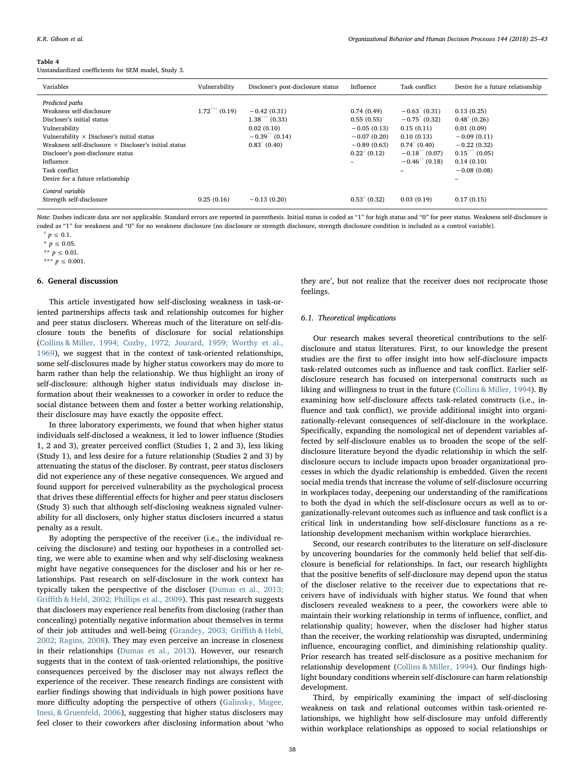#### K.R. Gibson et al. *Organizational Behavior and Human Decision Processes 144 (2018) 25–43*

#### <span id="page-13-0"></span>Table 4

Unstandardized coefficients for SEM model, Study 3.

| Variables                                                                                                                                                                                                                                                                                                               | Vulnerability                | Discloser's post-disclosure status                                                           | Influence                                                                                                                          | Task conflict                                                                                                                    | Desire for a future relationship                                                                                                                    |
|-------------------------------------------------------------------------------------------------------------------------------------------------------------------------------------------------------------------------------------------------------------------------------------------------------------------------|------------------------------|----------------------------------------------------------------------------------------------|------------------------------------------------------------------------------------------------------------------------------------|----------------------------------------------------------------------------------------------------------------------------------|-----------------------------------------------------------------------------------------------------------------------------------------------------|
| Predicted paths<br>Weakness self-disclosure<br>Discloser's initial status<br>Vulnerability<br>Vulnerability $\times$ Discloser's initial status<br>Weakness self-disclosure $\times$ Discloser's initial status<br>Discloser's post-disclosure status<br>Influence<br>Task conflict<br>Desire for a future relationship | $1.72$ <sup>***</sup> (0.19) | $-0.42(0.31)$<br>$1.38$ (0.33)<br>0.02(0.10)<br>$-0.39^{**}$ (0.14)<br>$0.83^{\circ}$ (0.40) | 0.74(0.49)<br>0.55(0.55)<br>$-0.05(0.13)$<br>$-0.07(0.20)$<br>$-0.89(0.63)$<br>$0.22^{\dagger}$ (0.12)<br>$\overline{\phantom{0}}$ | $-0.63$ (0.31)<br>$-0.75$ (0.32)<br>0.15(0.11)<br>0.10(0.13)<br>$0.74^{\dagger}$ (0.40)<br>$-0.18$ (0.07)<br>$-0.46$ (0.18)<br>- | 0.13(0.25)<br>$0.48^{\dagger}$ (0.26)<br>0.01(0.09)<br>$-0.09(0.11)$<br>$-0.22(0.32)$<br>$0.15***(0.05)$<br>0.14(0.10)<br>$-0.08(0.08)$<br>$\equiv$ |
| Control variable<br>Strength self-disclosure                                                                                                                                                                                                                                                                            | 0.25(0.16)                   | $-0.13(0.20)$                                                                                | $0.53^{\dagger}$ (0.32)                                                                                                            | 0.03(0.19)                                                                                                                       | 0.17(0.15)                                                                                                                                          |

Note: Dashes indicate data are not applicable. Standard errors are reported in parenthesis. Initial status is coded as "1" for high status and "0" for peer status. Weakness self-disclosure is coded as "1" for weakness and "0" for no weakness disclosure (no disclosure or strength disclosure, strength disclosure condition is included as a control variable).

<span id="page-13-3"></span> $\pi$  n < 0.1.

<span id="page-13-2"></span>\*  $p \le 0.05$ . \*\*  $p \le 0.01$ .

<span id="page-13-4"></span><span id="page-13-1"></span>\*\*\*  $p \le 0.001$ .

#### 6. General discussion

This article investigated how self-disclosing weakness in task-oriented partnerships affects task and relationship outcomes for higher and peer status disclosers. Whereas much of the literature on self-disclosure touts the benefits of disclosure for social relationships ([Collins & Miller, 1994; Cozby, 1972; Jourard, 1959; Worthy et al.,](#page-17-4) [1969\)](#page-17-4), we suggest that in the context of task-oriented relationships, some self-disclosures made by higher status coworkers may do more to harm rather than help the relationship. We thus highlight an irony of self-disclosure: although higher status individuals may disclose information about their weaknesses to a coworker in order to reduce the social distance between them and foster a better working relationship, their disclosure may have exactly the opposite effect.

In three laboratory experiments, we found that when higher status individuals self-disclosed a weakness, it led to lower influence (Studies 1, 2 and 3), greater perceived conflict (Studies 1, 2 and 3), less liking (Study 1), and less desire for a future relationship (Studies 2 and 3) by attenuating the status of the discloser. By contrast, peer status disclosers did not experience any of these negative consequences. We argued and found support for perceived vulnerability as the psychological process that drives these differential effects for higher and peer status disclosers (Study 3) such that although self-disclosing weakness signaled vulnerability for all disclosers, only higher status disclosers incurred a status penalty as a result.

By adopting the perspective of the receiver (i.e., the individual receiving the disclosure) and testing our hypotheses in a controlled setting, we were able to examine when and why self-disclosing weakness might have negative consequences for the discloser and his or her relationships. Past research on self-disclosure in the work context has typically taken the perspective of the discloser ([Dumas et al., 2013;](#page-17-11) Griffi[th & Hebl, 2002; Phillips et al., 2009\)](#page-17-11). This past research suggests that disclosers may experience real benefits from disclosing (rather than concealing) potentially negative information about themselves in terms of their job attitudes and well-being [\(Grandey, 2003; Gri](#page-17-16)ffith & Hebl, [2002; Ragins, 2008\)](#page-17-16). They may even perceive an increase in closeness in their relationships [\(Dumas et al., 2013](#page-17-11)). However, our research suggests that in the context of task-oriented relationships, the positive consequences perceived by the discloser may not always reflect the experience of the receiver. These research findings are consistent with earlier findings showing that individuals in high power positions have more difficulty adopting the perspective of others [\(Galinsky, Magee,](#page-17-41) [Inesi, & Gruenfeld, 2006](#page-17-41)), suggesting that higher status disclosers may feel closer to their coworkers after disclosing information about 'who they are', but not realize that the receiver does not reciprocate those feelings.

#### 6.1. Theoretical implications

Our research makes several theoretical contributions to the selfdisclosure and status literatures. First, to our knowledge the present studies are the first to offer insight into how self-disclosure impacts task-related outcomes such as influence and task conflict. Earlier selfdisclosure research has focused on interpersonal constructs such as liking and willingness to trust in the future (Collins [& Miller, 1994\)](#page-17-4). By examining how self-disclosure affects task-related constructs (i.e., influence and task conflict), we provide additional insight into organizationally-relevant consequences of self-disclosure in the workplace. Specifically, expanding the nomological net of dependent variables affected by self-disclosure enables us to broaden the scope of the selfdisclosure literature beyond the dyadic relationship in which the selfdisclosure occurs to include impacts upon broader organizational processes in which the dyadic relationship is embedded. Given the recent social media trends that increase the volume of self-disclosure occurring in workplaces today, deepening our understanding of the ramifications to both the dyad in which the self-disclosure occurs as well as to organizationally-relevant outcomes such as influence and task conflict is a critical link in understanding how self-disclosure functions as a relationship development mechanism within workplace hierarchies.

Second, our research contributes to the literature on self-disclosure by uncovering boundaries for the commonly held belief that self-disclosure is beneficial for relationships. In fact, our research highlights that the positive benefits of self-disclosure may depend upon the status of the discloser relative to the receiver due to expectations that receivers have of individuals with higher status. We found that when disclosers revealed weakness to a peer, the coworkers were able to maintain their working relationship in terms of influence, conflict, and relationship quality; however, when the discloser had higher status than the receiver, the working relationship was disrupted, undermining influence, encouraging conflict, and diminishing relationship quality. Prior research has treated self-disclosure as a positive mechanism for relationship development [\(Collins & Miller, 1994\)](#page-17-4). Our findings highlight boundary conditions wherein self-disclosure can harm relationship development.

Third, by empirically examining the impact of self-disclosing weakness on task and relational outcomes within task-oriented relationships, we highlight how self-disclosure may unfold differently within workplace relationships as opposed to social relationships or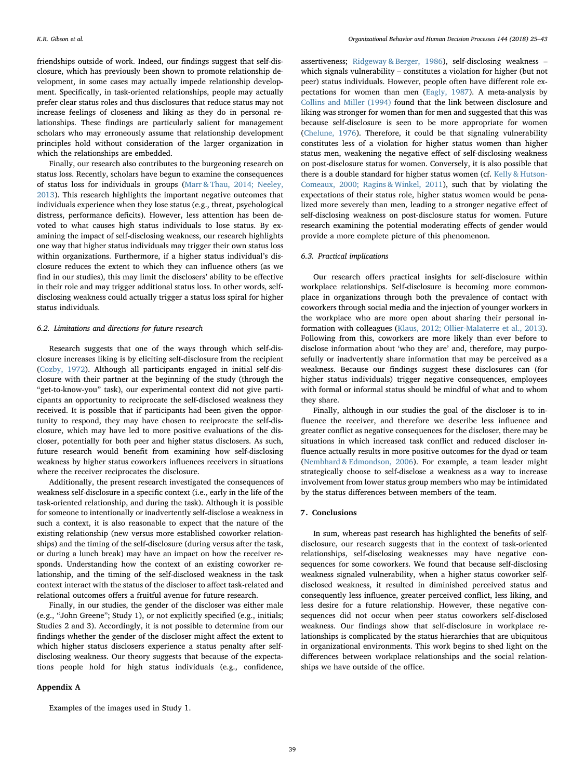friendships outside of work. Indeed, our findings suggest that self-disclosure, which has previously been shown to promote relationship development, in some cases may actually impede relationship development. Specifically, in task-oriented relationships, people may actually prefer clear status roles and thus disclosures that reduce status may not increase feelings of closeness and liking as they do in personal relationships. These findings are particularly salient for management scholars who may erroneously assume that relationship development principles hold without consideration of the larger organization in which the relationships are embedded.

Finally, our research also contributes to the burgeoning research on status loss. Recently, scholars have begun to examine the consequences of status loss for individuals in groups [\(Marr & Thau, 2014; Neeley,](#page-17-12) [2013\)](#page-17-12). This research highlights the important negative outcomes that individuals experience when they lose status (e.g., threat, psychological distress, performance deficits). However, less attention has been devoted to what causes high status individuals to lose status. By examining the impact of self-disclosing weakness, our research highlights one way that higher status individuals may trigger their own status loss within organizations. Furthermore, if a higher status individual's disclosure reduces the extent to which they can influence others (as we find in our studies), this may limit the disclosers' ability to be effective in their role and may trigger additional status loss. In other words, selfdisclosing weakness could actually trigger a status loss spiral for higher status individuals.

#### 6.2. Limitations and directions for future research

Research suggests that one of the ways through which self-disclosure increases liking is by eliciting self-disclosure from the recipient ([Cozby, 1972\)](#page-17-42). Although all participants engaged in initial self-disclosure with their partner at the beginning of the study (through the "get-to-know-you" task), our experimental context did not give participants an opportunity to reciprocate the self-disclosed weakness they received. It is possible that if participants had been given the opportunity to respond, they may have chosen to reciprocate the self-disclosure, which may have led to more positive evaluations of the discloser, potentially for both peer and higher status disclosers. As such, future research would benefit from examining how self-disclosing weakness by higher status coworkers influences receivers in situations where the receiver reciprocates the disclosure.

Additionally, the present research investigated the consequences of weakness self-disclosure in a specific context (i.e., early in the life of the task-oriented relationship, and during the task). Although it is possible for someone to intentionally or inadvertently self-disclose a weakness in such a context, it is also reasonable to expect that the nature of the existing relationship (new versus more established coworker relationships) and the timing of the self-disclosure (during versus after the task, or during a lunch break) may have an impact on how the receiver responds. Understanding how the context of an existing coworker relationship, and the timing of the self-disclosed weakness in the task context interact with the status of the discloser to affect task-related and relational outcomes offers a fruitful avenue for future research.

Finally, in our studies, the gender of the discloser was either male (e.g., "John Greene"; Study 1), or not explicitly specified (e.g., initials; Studies 2 and 3). Accordingly, it is not possible to determine from our findings whether the gender of the discloser might affect the extent to which higher status disclosers experience a status penalty after selfdisclosing weakness. Our theory suggests that because of the expectations people hold for high status individuals (e.g., confidence,

#### <span id="page-14-0"></span>Appendix A

Examples of the images used in Study 1.

assertiveness; Ridgeway [& Berger, 1986\)](#page-17-25), self-disclosing weakness – which signals vulnerability – constitutes a violation for higher (but not peer) status individuals. However, people often have different role expectations for women than men ([Eagly, 1987\)](#page-17-43). A meta-analysis by [Collins and Miller \(1994\)](#page-17-4) found that the link between disclosure and liking was stronger for women than for men and suggested that this was because self-disclosure is seen to be more appropriate for women ([Chelune, 1976\)](#page-17-44). Therefore, it could be that signaling vulnerability constitutes less of a violation for higher status women than higher status men, weakening the negative effect of self-disclosing weakness on post-disclosure status for women. Conversely, it is also possible that there is a double standard for higher status women (cf. [Kelly & Hutson-](#page-17-45)[Comeaux, 2000; Ragins & Winkel, 2011](#page-17-45)), such that by violating the expectations of their status role, higher status women would be penalized more severely than men, leading to a stronger negative effect of self-disclosing weakness on post-disclosure status for women. Future research examining the potential moderating effects of gender would provide a more complete picture of this phenomenon.

#### 6.3. Practical implications

Our research offers practical insights for self-disclosure within workplace relationships. Self-disclosure is becoming more commonplace in organizations through both the prevalence of contact with coworkers through social media and the injection of younger workers in the workplace who are more open about sharing their personal information with colleagues [\(Klaus, 2012; Ollier-Malaterre et al., 2013](#page-17-1)). Following from this, coworkers are more likely than ever before to disclose information about 'who they are' and, therefore, may purposefully or inadvertently share information that may be perceived as a weakness. Because our findings suggest these disclosures can (for higher status individuals) trigger negative consequences, employees with formal or informal status should be mindful of what and to whom they share.

Finally, although in our studies the goal of the discloser is to influence the receiver, and therefore we describe less influence and greater conflict as negative consequences for the discloser, there may be situations in which increased task conflict and reduced discloser influence actually results in more positive outcomes for the dyad or team ([Nembhard & Edmondson, 2006\)](#page-17-46). For example, a team leader might strategically choose to self-disclose a weakness as a way to increase involvement from lower status group members who may be intimidated by the status differences between members of the team.

### 7. Conclusions

In sum, whereas past research has highlighted the benefits of selfdisclosure, our research suggests that in the context of task-oriented relationships, self-disclosing weaknesses may have negative consequences for some coworkers. We found that because self-disclosing weakness signaled vulnerability, when a higher status coworker selfdisclosed weakness, it resulted in diminished perceived status and consequently less influence, greater perceived conflict, less liking, and less desire for a future relationship. However, these negative consequences did not occur when peer status coworkers self-disclosed weakness. Our findings show that self-disclosure in workplace relationships is complicated by the status hierarchies that are ubiquitous in organizational environments. This work begins to shed light on the differences between workplace relationships and the social relationships we have outside of the office.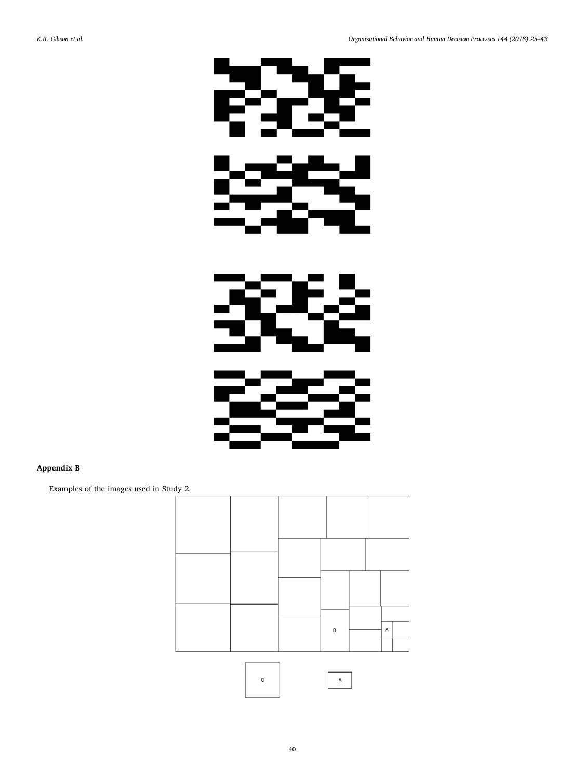

## <span id="page-15-0"></span>Appendix B

Examples of the images used in Study 2.

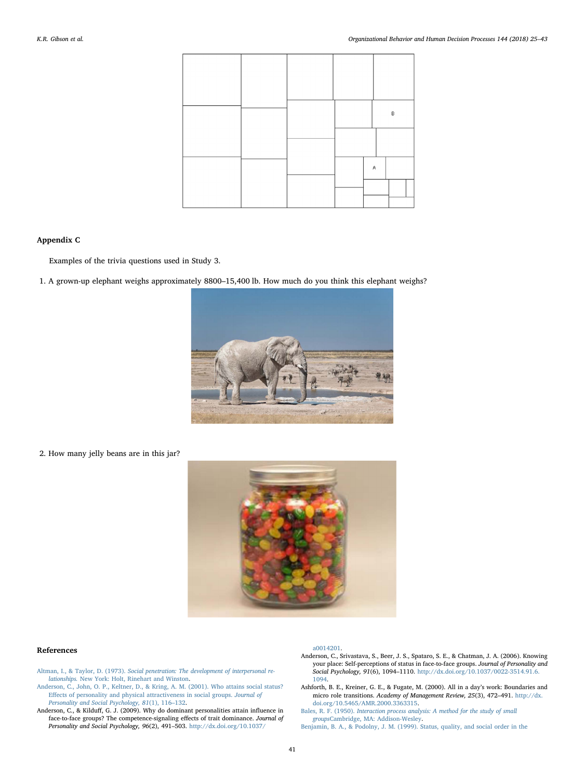

### <span id="page-16-7"></span>Appendix C

Examples of the trivia questions used in Study 3.

1. A grown-up elephant weighs approximately 8800–15,400 lb. How much do you think this elephant weighs?



2. How many jelly beans are in this jar?



#### References

- <span id="page-16-1"></span>Altman, I., & Taylor, D. (1973). [Social penetration: The development of interpersonal re](http://refhub.elsevier.com/S0749-5978(15)30252-1/h0005)lationships. [New York: Holt, Rinehart and Winston](http://refhub.elsevier.com/S0749-5978(15)30252-1/h0005).
- <span id="page-16-4"></span>[Anderson, C., John, O. P., Keltner, D., & Kring, A. M. \(2001\). Who attains social status?](http://refhub.elsevier.com/S0749-5978(15)30252-1/h0010) Eff[ects of personality and physical attractiveness in social groups.](http://refhub.elsevier.com/S0749-5978(15)30252-1/h0010) Journal of [Personality and Social Psychology, 81](http://refhub.elsevier.com/S0749-5978(15)30252-1/h0010)(1), 116–132.
- <span id="page-16-6"></span>Anderson, C., & Kilduff, G. J. (2009). Why do dominant personalities attain influence in face-to-face groups? The competence-signaling effects of trait dominance. Journal of Personality and Social Psychology, 96(2), 491–503. [http://dx.doi.org/10.1037/](http://dx.doi.org/10.1037/a0014201)

#### [a0014201.](http://dx.doi.org/10.1037/a0014201)

- <span id="page-16-2"></span>Anderson, C., Srivastava, S., Beer, J. S., Spataro, S. E., & Chatman, J. A. (2006). Knowing your place: Self-perceptions of status in face-to-face groups. Journal of Personality and Social Psychology, 91(6), 1094–1110. [http://dx.doi.org/10.1037/0022-3514.91.6.](http://dx.doi.org/10.1037/0022-3514.91.6.1094) [1094.](http://dx.doi.org/10.1037/0022-3514.91.6.1094)
- <span id="page-16-0"></span>Ashforth, B. E., Kreiner, G. E., & Fugate, M. (2000). All in a day's work: Boundaries and micro role transitions. Academy of Management Review, 25(3), 472–491. [http://dx.](http://dx.doi.org/10.5465/AMR.2000.3363315) [doi.org/10.5465/AMR.2000.3363315](http://dx.doi.org/10.5465/AMR.2000.3363315).
- <span id="page-16-3"></span>Bales, R. F. (1950). [Interaction process analysis: A method for the study of small](http://refhub.elsevier.com/S0749-5978(15)30252-1/h0030) groups[Cambridge, MA: Addison-Wesley](http://refhub.elsevier.com/S0749-5978(15)30252-1/h0030).
- <span id="page-16-5"></span>[Benjamin, B. A., & Podolny, J. M. \(1999\). Status, quality, and social order in the](http://refhub.elsevier.com/S0749-5978(15)30252-1/h0035)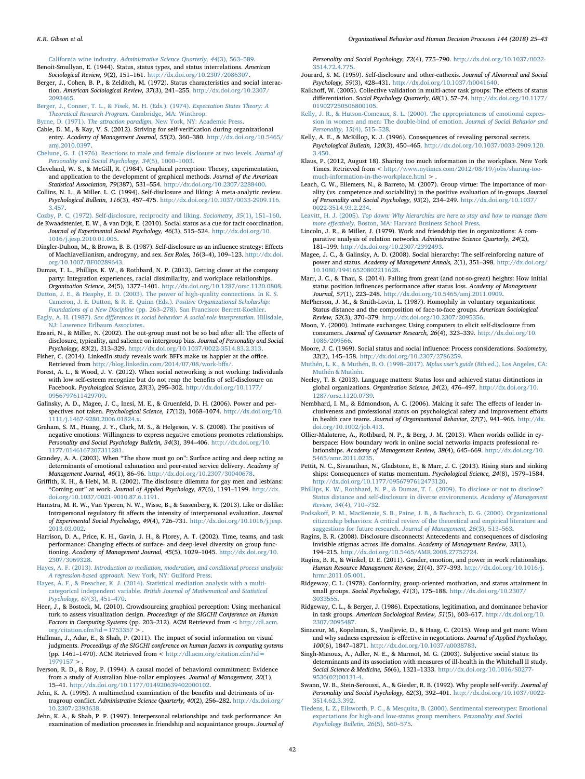<span id="page-17-22"></span>California wine industry. [Administrative Science Quarterly, 44](http://refhub.elsevier.com/S0749-5978(15)30252-1/h0035)(3), 563–589. Benoit-Smullyan, E. (1944). Status, status types, and status interrelations. American

<span id="page-17-23"></span>Sociological Review, 9(2), 151–161. <http://dx.doi.org/10.2307/2086307>. Berger, J., Cohen, B. P., & Zelditch, M. (1972). Status characteristics and social interac-

- tion. American Sociological Review, 37(3), 241–255. [http://dx.doi.org/10.2307/](http://dx.doi.org/10.2307/2093465) [2093465.](http://dx.doi.org/10.2307/2093465)
- <span id="page-17-10"></span>[Berger, J., Conner, T. L., & Fisek, M. H. \(Eds.\). \(1974\).](http://refhub.elsevier.com/S0749-5978(15)30252-1/h0050) Expectation States Theory: A [Theoretical Research Program](http://refhub.elsevier.com/S0749-5978(15)30252-1/h0050). Cambridge, MA: Winthrop.

<span id="page-17-28"></span>Byrne, D. (1971). The attraction paradigm. [New York, NY: Academic Press.](http://refhub.elsevier.com/S0749-5978(15)30252-1/h0055)

- <span id="page-17-19"></span>Cable, D. M., & Kay, V. S. (2012). Striving for self-verification during organizational entry. Academy of Management Journal, 55(2), 360-380. [http://dx.doi.org/10.5465/](http://dx.doi.org/10.5465/amj.2010.0397) [amj.2010.0397](http://dx.doi.org/10.5465/amj.2010.0397).
- <span id="page-17-44"></span>[Chelune, G. J. \(1976\). Reactions to male and female disclosure at two levels.](http://refhub.elsevier.com/S0749-5978(15)30252-1/h0065) Journal of [Personality and Social Psychology, 34](http://refhub.elsevier.com/S0749-5978(15)30252-1/h0065)(5), 1000–1003.
- <span id="page-17-35"></span>Cleveland, W. S., & McGill, R. (1984). Graphical perception: Theory, experimentation, and application to the development of graphical methods. Journal of the American Statistical Association, 79(387), 531–554. [http://dx.doi.org/10.2307/2288400.](http://dx.doi.org/10.2307/2288400)
- <span id="page-17-4"></span>Collins, N. L., & Miller, L. C. (1994). Self-disclosure and liking: A meta-analytic review. Psychological Bulletin, 116(3), 457–475. [http://dx.doi.org/10.1037/0033-2909.116.](http://dx.doi.org/10.1037/0033-2909.116.3.457) [3.457.](http://dx.doi.org/10.1037/0033-2909.116.3.457)

<span id="page-17-42"></span>[Cozby, P. C. \(1972\). Self-disclosure, reciprocity and liking.](http://refhub.elsevier.com/S0749-5978(15)30252-1/h0080) Sociometry, 35(1), 151–160.

<span id="page-17-9"></span>de Kwaadsteniet, E. W., & van Dijk, E. (2010). Social status as a cue for tacit coordination. Journal of Experimental Social Psychology, 46(3), 515–524. [http://dx.doi.org/10.](http://dx.doi.org/10.1016/j.jesp.2010.01.005) [1016/j.jesp.2010.01.005](http://dx.doi.org/10.1016/j.jesp.2010.01.005).

- <span id="page-17-13"></span>Dingler-Duhon, M., & Brown, B. B. (1987). Self-disclosure as an influence strategy: Effects of Machiavellianism, androgyny, and sex. Sex Roles, 16(3–4), 109–123. [http://dx.doi.](http://dx.doi.org/10.1007/BF00289643) [org/10.1007/BF00289643](http://dx.doi.org/10.1007/BF00289643).
- <span id="page-17-11"></span>Dumas, T. L., Phillips, K. W., & Rothbard, N. P. (2013). Getting closer at the company party: Integration experiences, racial dissimilarity, and workplace relationships. Organization Science, 24(5), 1377–1401. <http://dx.doi.org/10.1287/orsc.1120.0808>.
- <span id="page-17-3"></span>Dutton, [J. E., & Heaphy, E. D. \(2003\). The power of high-quality connections. In K. S.](http://refhub.elsevier.com/S0749-5978(15)30252-1/h0100) [Cameron, J. E. Dutton, & R. E. Quinn \(Eds.\).](http://refhub.elsevier.com/S0749-5978(15)30252-1/h0100) Positive Organizational Scholarship: Foundations of a New Discipline (pp. 263–[278\). San Francisco: Berrett-Koehler](http://refhub.elsevier.com/S0749-5978(15)30252-1/h0100).

<span id="page-17-43"></span>Eagly, A. H. (1987). Sex diff[erences in social behavior: A social-role interpretation.](http://refhub.elsevier.com/S0749-5978(15)30252-1/h0105) Hillsdale, [NJ: Lawrence Erlbaum Associates](http://refhub.elsevier.com/S0749-5978(15)30252-1/h0105).

- <span id="page-17-29"></span>Ensari, N., & Miller, N. (2002). The out-group must not be so bad after all: The effects of disclosure, typicality, and salience on intergroup bias. Journal of Personality and Social Psychology, 83(2), 313–329. <http://dx.doi.org/10.1037/0022-3514.83.2.313>.
- <span id="page-17-2"></span>Fisher, C. (2014). LinkedIn study reveals work BFFs make us happier at the office. Retrieved from [http://blog.linkedin.com/2014/07/08/work-b](http://www.elsevier.com/xml/linking-roles/text/html)ffs/.
- <span id="page-17-21"></span>Forest, A. L., & Wood, J. V. (2012). When social networking is not working: Individuals with low self-esteem recognize but do not reap the benefits of self-disclosure on Facebook. Psychological Science, 23(3), 295–302. [http://dx.doi.org/10.1177/](http://dx.doi.org/10.1177/0956797611429709) [0956797611429709.](http://dx.doi.org/10.1177/0956797611429709)
- <span id="page-17-41"></span>Galinsky, A. D., Magee, J. C., Inesi, M. E., & Gruenfeld, D. H. (2006). Power and perspectives not taken. Psychological Science, 17(12), 1068-1074. [http://dx.doi.org/10.](http://dx.doi.org/10.1111/j.1467-9280.2006.01824.x) [1111/j.1467-9280.2006.01824.x](http://dx.doi.org/10.1111/j.1467-9280.2006.01824.x).
- <span id="page-17-20"></span>Graham, S. M., Huang, J. Y., Clark, M. S., & Helgeson, V. S. (2008). The positives of negative emotions: Willingness to express negative emotions promotes relationships. Personality and Social Psychology Bulletin, 34(3), 394–406. [http://dx.doi.org/10.](http://dx.doi.org/10.1177/0146167207311281) [1177/0146167207311281](http://dx.doi.org/10.1177/0146167207311281).
- <span id="page-17-16"></span>Grandey, A. A. (2003). When "The show must go on": Surface acting and deep acting as determinants of emotional exhaustion and peer-rated service delivery. Academy of Management Journal, 46(1), 86–96. <http://dx.doi.org/10.2307/30040678>.
- <span id="page-17-18"></span>Griffith, K. H., & Hebl, M. R. (2002). The disclosure dilemma for gay men and lesbians: "Coming out" at work. Journal of Applied Psychology, 87(6), 1191-1199. [http://dx.](http://dx.doi.org/10.1037/0021-9010.87.6.1191) [doi.org/10.1037/0021-9010.87.6.1191](http://dx.doi.org/10.1037/0021-9010.87.6.1191).
- <span id="page-17-33"></span>Hamstra, M. R. W., Van Yperen, N. W., Wisse, B., & Sassenberg, K. (2013). Like or dislike: Intrapersonal regulatory fit affects the intensity of interpersonal evaluation. Journal of Experimental Social Psychology, 49(4), 726–731. [http://dx.doi.org/10.1016/j.jesp.](http://dx.doi.org/10.1016/j.jesp.2013.03.002) [2013.03.002](http://dx.doi.org/10.1016/j.jesp.2013.03.002).
- <span id="page-17-5"></span>Harrison, D. A., Price, K. H., Gavin, J. H., & Florey, A. T. (2002). Time, teams, and task performance: Changing effects of surface- and deep-level diversity on group functioning. Academy of Management Journal, 45(5), 1029–1045. [http://dx.doi.org/10.](http://dx.doi.org/10.2307/3069328) [2307/3069328](http://dx.doi.org/10.2307/3069328).

<span id="page-17-34"></span>Hayes, A. F. (2013). [Introduction to mediation, moderation, and conditional process analysis:](http://refhub.elsevier.com/S0749-5978(15)30252-1/h0155) A regression-based approach. [New York, NY: Guilford Press](http://refhub.elsevier.com/S0749-5978(15)30252-1/h0155).

- <span id="page-17-39"></span>[Hayes, A. F., & Preacher, K. J. \(2014\). Statistical mediation analysis with a multi](http://refhub.elsevier.com/S0749-5978(15)30252-1/h0160)categorical independent variable. [British Journal of Mathematical and Statistical](http://refhub.elsevier.com/S0749-5978(15)30252-1/h0160) [Psychology, 67](http://refhub.elsevier.com/S0749-5978(15)30252-1/h0160)(3), 451–470.
- Heer, J., & Bostock, M. (2010). Crowdsourcing graphical perception: Using mechanical turk to assess visualization design. Proceedings of the SIGCHI Conference on Human Factors in Computing Systems (pp. 203–212). ACM Retrieved from < [http://dl.acm.](http://dl.acm.org/citation.cfm?id=1753357) [org/citation.cfm?id=1753357](http://dl.acm.org/citation.cfm?id=1753357) > .
- Hullman, J., Adar, E., & Shah, P. (2011). The impact of social information on visual judgments. Proceedings of the SIGCHI conference on human factors in computing systems (pp. 1461–1470). ACM Retrieved from < [http://dl.acm.org/citation.cfm?id=](http://dl.acm.org/citation.cfm?id=1979157)  $1979157 >$  $1979157 >$
- <span id="page-17-7"></span>Iverson, R. D., & Roy, P. (1994). A causal model of behavioral commitment: Evidence from a study of Australian blue-collar employees. Journal of Management, 20(1), 15–41. [http://dx.doi.org/10.1177/014920639402000102.](http://dx.doi.org/10.1177/014920639402000102)
- <span id="page-17-32"></span>Jehn, K. A. (1995). A multimethod examination of the benefits and detriments of intragroup conflict. Administrative Science Quarterly, 40(2), 256–282. [http://dx.doi.org/](http://dx.doi.org/10.2307/2393638) [10.2307/2393638](http://dx.doi.org/10.2307/2393638).
- Jehn, K. A., & Shah, P. P. (1997). Interpersonal relationships and task performance: An examination of mediation processes in friendship and acquaintance groups. Journal of

Personality and Social Psychology, 72(4), 775–790. [http://dx.doi.org/10.1037/0022-](http://dx.doi.org/10.1037/0022-3514.72.4.775) 3514.72.4.775

- Jourard, S. M. (1959). Self-disclosure and other-cathexis. Journal of Abnormal and Social Psychology, 59(3), 428–431. [http://dx.doi.org/10.1037/h0041640.](http://dx.doi.org/10.1037/h0041640)
- <span id="page-17-30"></span>Kalkhoff, W. (2005). Collective validation in multi-actor task groups: The effects of status differentiation. Social Psychology Quarterly, 68(1), 57–74. [http://dx.doi.org/10.1177/](http://dx.doi.org/10.1177/019027250506800105) [019027250506800105](http://dx.doi.org/10.1177/019027250506800105).
- <span id="page-17-45"></span>Kelly, [J. R., & Hutson-Comeaux, S. L. \(2000\). The appropriateness of emotional expres](http://refhub.elsevier.com/S0749-5978(15)30252-1/h0200)[sion in women and men: The double-bind of emotion.](http://refhub.elsevier.com/S0749-5978(15)30252-1/h0200) Journal of Social Behavior and [Personality, 15](http://refhub.elsevier.com/S0749-5978(15)30252-1/h0200)(4), 515–528.
- <span id="page-17-26"></span>Kelly, A. E., & McKillop, K. J. (1996). Consequences of revealing personal secrets. Psychological Bulletin, 120(3), 450–465. [http://dx.doi.org/10.1037/0033-2909.120.](http://dx.doi.org/10.1037/0033-2909.120.3.450) [3.450.](http://dx.doi.org/10.1037/0033-2909.120.3.450)
- <span id="page-17-1"></span>Klaus, P. (2012, August 18). Sharing too much information in the workplace. New York Times. Retrieved from < [http://www.nytimes.com/2012/08/19/jobs/sharing-too](http://www.nytimes.com/2012/08/19/jobs/sharing-too-much-information-in-the-workplace.html)[much-information-in-the-workplace.html](http://www.nytimes.com/2012/08/19/jobs/sharing-too-much-information-in-the-workplace.html) > .
- <span id="page-17-38"></span>Leach, C. W., Ellemers, N., & Barreto, M. (2007). Group virtue: The importance of morality (vs. competence and sociability) in the positive evaluation of in-groups. Journal of Personality and Social Psychology, 93(2), 234–249. [http://dx.doi.org/10.1037/](http://dx.doi.org/10.1037/0022-3514.93.2.234) [0022-3514.93.2.234](http://dx.doi.org/10.1037/0022-3514.93.2.234).
- Leavitt, H. J. (2005). [Top down: Why hierarchies are here to stay and how to manage them](http://refhub.elsevier.com/S0749-5978(15)30252-1/h0220) more effectively. [Boston, MA: Harvard Business School Press.](http://refhub.elsevier.com/S0749-5978(15)30252-1/h0220)
- <span id="page-17-27"></span>Lincoln, J. R., & Miller, J. (1979). Work and friendship ties in organizations: A comparative analysis of relation networks. Administrative Science Quarterly, 24(2), 181–199. <http://dx.doi.org/10.2307/2392493>.
- Magee, J. C., & Galinsky, A. D. (2008). Social hierarchy: The self-reinforcing nature of power and status. Academy of Management Annals, 2(1), 351–398. [http://dx.doi.org/](http://dx.doi.org/10.1080/19416520802211628) [10.1080/19416520802211628](http://dx.doi.org/10.1080/19416520802211628).
- <span id="page-17-12"></span>Marr, J. C., & Thau, S. (2014). Falling from great (and not-so-great) heights: How initial status position influences performance after status loss. Academy of Management Journal, 57(1), 223–248. [http://dx.doi.org/10.5465/amj.2011.0909.](http://dx.doi.org/10.5465/amj.2011.0909)
- McPherson, J. M., & Smith-Lovin, L. (1987). Homophily in voluntary organizations: Status distance and the composition of face-to-face groups. American Sociological Review, 52(3), 370–379. <http://dx.doi.org/10.2307/2095356>.
- Moon, Y. (2000). Intimate exchanges: Using computers to elicit self-disclosure from consumers. Journal of Consumer Research, 26(4), 323–339. [http://dx.doi.org/10.](http://dx.doi.org/10.1086/209566) [1086/209566.](http://dx.doi.org/10.1086/209566)
- Moore, J. C. (1969). Social status and social influence: Process considerations. Sociometry, 32(2), 145–158. [http://dx.doi.org/10.2307/2786259.](http://dx.doi.org/10.2307/2786259)
- <span id="page-17-40"></span>[Muthén, L. K., & Muthén, B. O. \(1998](http://refhub.elsevier.com/S0749-5978(15)30252-1/h0255)–2017). Mplus user's guide (8th ed.). Los Angeles, CA: [Muthén & Muthén](http://refhub.elsevier.com/S0749-5978(15)30252-1/h0255).
- Neeley, T. B. (2013). Language matters: Status loss and achieved status distinctions in global organizations. Organization Science, 24(2), 476–497. [http://dx.doi.org/10.](http://dx.doi.org/10.1287/orsc.1120.0739) [1287/orsc.1120.0739.](http://dx.doi.org/10.1287/orsc.1120.0739)
- <span id="page-17-46"></span>Nembhard, I. M., & Edmondson, A. C. (2006). Making it safe: The effects of leader inclusiveness and professional status on psychological safety and improvement efforts in health care teams. Journal of Organizational Behavior, 27(7), 941–966. [http://dx.](http://dx.doi.org/10.1002/job.413) [doi.org/10.1002/job.413.](http://dx.doi.org/10.1002/job.413)
- <span id="page-17-0"></span>Ollier-Malaterre, A., Rothbard, N. P., & Berg, J. M. (2013). When worlds collide in cyberspace: How boundary work in online social networks impacts professional relationships. Academy of Management Review, 38(4), 645–669. [http://dx.doi.org/10.](http://dx.doi.org/10.5465/amr.2011.0235) [5465/amr.2011.0235.](http://dx.doi.org/10.5465/amr.2011.0235)
- <span id="page-17-36"></span>Pettit, N. C., Sivanathan, N., Gladstone, E., & Marr, J. C. (2013). Rising stars and sinking ships: Consequences of status momentum. Psychological Science, 24(8), 1579–1584. [http://dx.doi.org/10.1177/0956797612473120.](http://dx.doi.org/10.1177/0956797612473120)
- <span id="page-17-8"></span>[Phillips, K. W., Rothbard, N. P., & Dumas, T. L. \(2009\). To disclose or not to disclose?](http://refhub.elsevier.com/S0749-5978(15)30252-1/h0280) [Status distance and self-disclosure in diverse environments.](http://refhub.elsevier.com/S0749-5978(15)30252-1/h0280) Academy of Management [Review, 34](http://refhub.elsevier.com/S0749-5978(15)30252-1/h0280)(4), 710–732.
- <span id="page-17-6"></span>Podsakoff[, P. M., MacKenzie, S. B., Paine, J. B., & Bachrach, D. G. \(2000\). Organizational](http://refhub.elsevier.com/S0749-5978(15)30252-1/h0285) [citizenship behaviors: A critical review of the theoretical and empirical literature and](http://refhub.elsevier.com/S0749-5978(15)30252-1/h0285) [suggestions for future research.](http://refhub.elsevier.com/S0749-5978(15)30252-1/h0285) Journal of Management, 26(3), 513–563.
- <span id="page-17-17"></span>Ragins, B. R. (2008). Disclosure disconnects: Antecedents and consequences of disclosing invisible stigmas across life domains. Academy of Management Review, 33(1), 194–215. [http://dx.doi.org/10.5465/AMR.2008.27752724.](http://dx.doi.org/10.5465/AMR.2008.27752724)
- Ragins, B. R., & Winkel, D. E. (2011). Gender, emotion, and power in work relationships. Human Resource Management Review, 21(4), 377–393. [http://dx.doi.org/10.1016/j.](http://dx.doi.org/10.1016/j.hrmr.2011.05.001) [hrmr.2011.05.001](http://dx.doi.org/10.1016/j.hrmr.2011.05.001).
- <span id="page-17-24"></span>Ridgeway, C. L. (1978). Conformity, group-oriented motivation, and status attainment in small groups. Social Psychology, 41(3), 175–188. [http://dx.doi.org/10.2307/](http://dx.doi.org/10.2307/3033555) [3033555.](http://dx.doi.org/10.2307/3033555)
- <span id="page-17-25"></span>Ridgeway, C. L., & Berger, J. (1986). Expectations, legitimation, and dominance behavior in task groups. American Sociological Review, 51(5), 603–617. [http://dx.doi.org/10.](http://dx.doi.org/10.2307/2095487) [2307/2095487](http://dx.doi.org/10.2307/2095487).
- <span id="page-17-14"></span>Sinaceur, M., Kopelman, S., Vasiljevic, D., & Haag, C. (2015). Weep and get more: When and why sadness expression is effective in negotiations. Journal of Applied Psychology, 100(6), 1847–1871. [http://dx.doi.org/10.1037/a0038783.](http://dx.doi.org/10.1037/a0038783)
- <span id="page-17-31"></span>Singh-Manoux, A., Adler, N. E., & Marmot, M. G. (2003). Subjective social status: Its determinants and its association with measures of ill-health in the Whitehall II study. Social Science & Medicine, 56(6), 1321–1333. [http://dx.doi.org/10.1016/S0277-](http://dx.doi.org/10.1016/S0277-9536(02)00131-4) [9536\(02\)00131-4](http://dx.doi.org/10.1016/S0277-9536(02)00131-4).
- <span id="page-17-15"></span>Swann, W. B., Stein-Seroussi, A., & Giesler, R. B. (1992). Why people self-verify. Journal of Personality and Social Psychology, 62(3), 392–401. [http://dx.doi.org/10.1037/0022-](http://dx.doi.org/10.1037/0022-3514.62.3.392) [3514.62.3.392.](http://dx.doi.org/10.1037/0022-3514.62.3.392)
- <span id="page-17-37"></span>[Tiedens, L. Z., Ellsworth, P. C., & Mesquita, B. \(2000\). Sentimental stereotypes: Emotional](http://refhub.elsevier.com/S0749-5978(15)30252-1/h0325) [expectations for high-and low-status group members.](http://refhub.elsevier.com/S0749-5978(15)30252-1/h0325) Personality and Social [Psychology Bulletin, 26](http://refhub.elsevier.com/S0749-5978(15)30252-1/h0325)(5), 560–575.